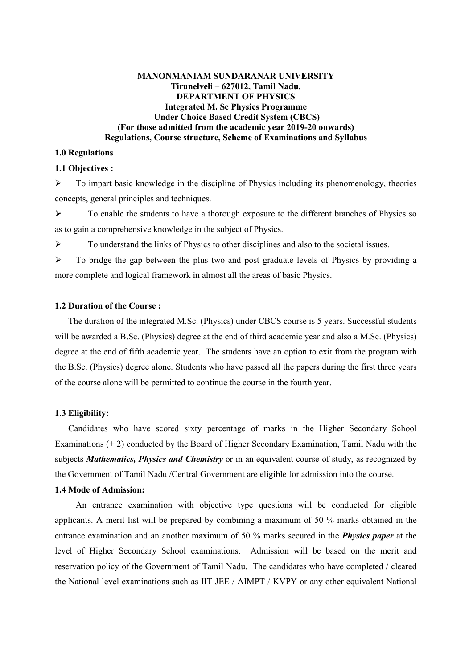#### **MANONMANIAM SUNDARANAR UNIVERSITY Tirunelveli – 627012, Tamil Nadu. DEPARTMENT OF PHYSICS Integrated M. Sc Physics Programme Under Choice Based Credit System (CBCS) (For those admitted from the academic year 2019-20 onwards) Regulations, Course structure, Scheme of Examinations and Syllabus**

#### **1.0 Regulations**

#### **1.1 Objectives :**

 $\triangleright$  To impart basic knowledge in the discipline of Physics including its phenomenology, theories concepts, general principles and techniques.

 $\triangleright$  To enable the students to have a thorough exposure to the different branches of Physics so as to gain a comprehensive knowledge in the subject of Physics.

 $\triangleright$  To understand the links of Physics to other disciplines and also to the societal issues.

 $\triangleright$  To bridge the gap between the plus two and post graduate levels of Physics by providing a more complete and logical framework in almost all the areas of basic Physics.

#### **1.2 Duration of the Course :**

 The duration of the integrated M.Sc. (Physics) under CBCS course is 5 years. Successful students will be awarded a B.Sc. (Physics) degree at the end of third academic year and also a M.Sc. (Physics) degree at the end of fifth academic year. The students have an option to exit from the program with the B.Sc. (Physics) degree alone. Students who have passed all the papers during the first three years of the course alone will be permitted to continue the course in the fourth year.

#### **1.3 Eligibility:**

 Candidates who have scored sixty percentage of marks in the Higher Secondary School Examinations (+ 2) conducted by the Board of Higher Secondary Examination, Tamil Nadu with the subjects *Mathematics, Physics and Chemistry* or in an equivalent course of study, as recognized by the Government of Tamil Nadu /Central Government are eligible for admission into the course.

#### **1.4 Mode of Admission:**

 An entrance examination with objective type questions will be conducted for eligible applicants. A merit list will be prepared by combining a maximum of 50 % marks obtained in the entrance examination and an another maximum of 50 % marks secured in the *Physics paper* at the level of Higher Secondary School examinations. Admission will be based on the merit and reservation policy of the Government of Tamil Nadu. The candidates who have completed / cleared the National level examinations such as IIT JEE / AIMPT / KVPY or any other equivalent National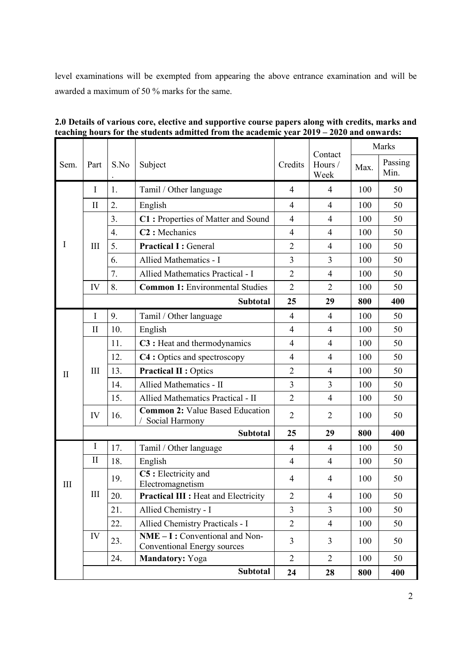level examinations will be exempted from appearing the above entrance examination and will be awarded a maximum of 50 % marks for the same.

|              | S.No<br>Part<br>Subject |                  |                                                                 |                 | Contact        | Marks           |     |
|--------------|-------------------------|------------------|-----------------------------------------------------------------|-----------------|----------------|-----------------|-----|
| Sem.         |                         |                  | Credits                                                         | Hours /<br>Week | Max.           | Passing<br>Min. |     |
|              | $\mathbf I$             | 1.               | Tamil / Other language                                          | $\overline{4}$  | $\overline{4}$ | 100             | 50  |
|              | $\mathbf{I}$            | $\overline{2}$ . | English                                                         | $\overline{4}$  | $\overline{4}$ | 100             | 50  |
|              |                         | 3 <sub>1</sub>   | C1: Properties of Matter and Sound                              | $\overline{4}$  | $\overline{4}$ | 100             | 50  |
|              |                         | 4.               | C <sub>2</sub> : Mechanics                                      | $\overline{4}$  | 4              | 100             | 50  |
| Ι            | III                     | 5.               | <b>Practical I: General</b>                                     | $\overline{2}$  | $\overline{4}$ | 100             | 50  |
|              |                         | 6.               | Allied Mathematics - I                                          | 3               | 3              | 100             | 50  |
|              |                         | 7.               | Allied Mathematics Practical - I                                | $\overline{2}$  | $\overline{4}$ | 100             | 50  |
|              | IV                      | 8.               | <b>Common 1: Environmental Studies</b>                          | $\overline{2}$  | $\overline{2}$ | 100             | 50  |
|              |                         |                  | <b>Subtotal</b>                                                 | 25              | 29             | 800             | 400 |
|              | I                       | 9.               | Tamil / Other language                                          | $\overline{4}$  | $\overline{4}$ | 100             | 50  |
|              | $\mathbf{I}$            | 10.              | English                                                         | $\overline{4}$  | $\overline{4}$ | 100             | 50  |
|              | III                     | 11.              | C3 : Heat and thermodynamics                                    | $\overline{4}$  | $\overline{4}$ | 100             | 50  |
|              |                         | 12.              | C4 : Optics and spectroscopy                                    | $\overline{4}$  | $\overline{4}$ | 100             | 50  |
| $\mathbf{I}$ |                         | 13.              | <b>Practical II: Optics</b>                                     | $\overline{2}$  | $\overline{4}$ | 100             | 50  |
|              |                         | 14.              | Allied Mathematics - II                                         | 3               | 3              | 100             | 50  |
|              |                         | 15.              | Allied Mathematics Practical - II                               | $\overline{2}$  | $\overline{4}$ | 100             | 50  |
|              | IV                      | 16.              | <b>Common 2: Value Based Education</b><br>Social Harmony        | $\overline{2}$  | $\overline{2}$ | 100             | 50  |
|              |                         |                  | <b>Subtotal</b>                                                 | 25              | 29             | 800             | 400 |
|              | I                       | 17.              | Tamil / Other language                                          | $\overline{4}$  | $\overline{4}$ | 100             | 50  |
|              | $\mathbf{I}$            | 18.              | English                                                         | $\overline{4}$  | $\overline{4}$ | 100             | 50  |
| III          |                         | 19.              | C5 : Electricity and<br>Electromagnetism                        | $\overline{4}$  | 4              | 100             | 50  |
|              | $\mathop{\rm III}$      | 20.              | <b>Practical III : Heat and Electricity</b>                     | $\overline{2}$  | $\overline{4}$ | 100             | 50  |
|              |                         | 21.              | Allied Chemistry - I                                            | 3               | 3              | 100             | 50  |
|              |                         | 22.              | Allied Chemistry Practicals - I                                 | $\overline{2}$  | $\overline{4}$ | 100             | 50  |
|              | IV                      | 23.              | $NME - I: Conventional and Non-$<br>Conventional Energy sources | $\overline{3}$  | 3              | 100             | 50  |
|              |                         | 24.              | Mandatory: Yoga                                                 | $\overline{2}$  | $\overline{2}$ | 100             | 50  |
|              |                         |                  | Subtotal                                                        | 24              | 28             | 800             | 400 |

**2.0 Details of various core, elective and supportive course papers along with credits, marks and teaching hours for the students admitted from the academic year 2019 – 2020 and onwards:**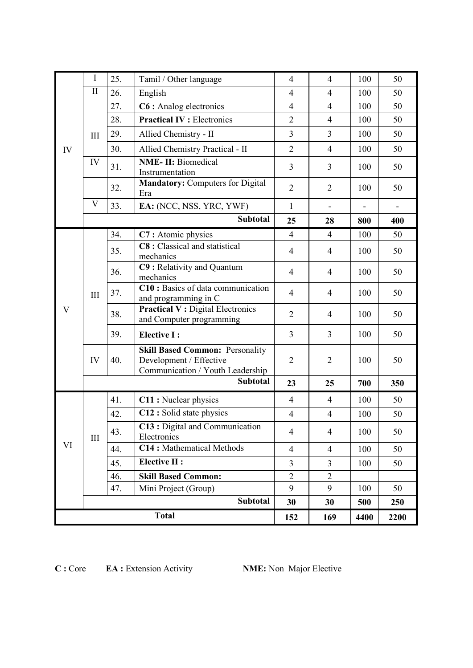|              | $\rm I$         | 25. | Tamil / Other language                                                                                | $\overline{4}$ | $\overline{4}$ | 100  | 50  |
|--------------|-----------------|-----|-------------------------------------------------------------------------------------------------------|----------------|----------------|------|-----|
|              | $\mathbf{I}$    | 26. | English                                                                                               | $\overline{4}$ | $\overline{4}$ | 100  | 50  |
|              |                 | 27. | C6 : Analog electronics                                                                               | $\overline{4}$ | $\overline{4}$ | 100  | 50  |
|              |                 | 28. | <b>Practical IV: Electronics</b>                                                                      | $\overline{2}$ | $\overline{4}$ | 100  | 50  |
|              | III             | 29. | Allied Chemistry - II                                                                                 | $\overline{3}$ | 3              | 100  | 50  |
| IV           |                 | 30. | Allied Chemistry Practical - II                                                                       | $\overline{2}$ | $\overline{4}$ | 100  | 50  |
|              | IV              | 31. | <b>NME-II:</b> Biomedical<br>Instrumentation                                                          | 3              | 3              | 100  | 50  |
|              |                 | 32. | <b>Mandatory: Computers for Digital</b><br>Era                                                        | $\overline{2}$ | $\overline{2}$ | 100  | 50  |
|              | V               | 33. | EA: (NCC, NSS, YRC, YWF)                                                                              | $\mathbf{1}$   |                |      |     |
|              |                 |     | <b>Subtotal</b>                                                                                       | 25             | 28             | 800  | 400 |
|              |                 | 34. | C7: Atomic physics                                                                                    | $\overline{4}$ | $\overline{4}$ | 100  | 50  |
|              |                 | 35. | C8 : Classical and statistical<br>mechanics                                                           | $\overline{4}$ | $\overline{4}$ | 100  | 50  |
|              |                 | 36. | C9 : Relativity and Quantum<br>mechanics                                                              | $\overline{4}$ | $\overline{4}$ | 100  | 50  |
|              | III             | 37. | C10 : Basics of data communication<br>and programming in C                                            | $\overline{4}$ | 4              | 100  | 50  |
| $\mathbf V$  |                 | 38. | <b>Practical V: Digital Electronics</b><br>and Computer programming                                   | $\overline{2}$ | $\overline{4}$ | 100  | 50  |
|              |                 | 39. | <b>Elective I:</b>                                                                                    | $\overline{3}$ | 3              | 100  | 50  |
|              | IV              | 40. | <b>Skill Based Common: Personality</b><br>Development / Effective<br>Communication / Youth Leadership | $\overline{2}$ | $\overline{2}$ | 100  | 50  |
|              |                 |     | <b>Subtotal</b>                                                                                       | 23             | 25             | 700  | 350 |
|              |                 | 41. | C11 : Nuclear physics                                                                                 | $\overline{4}$ | $\overline{4}$ | 100  | 50  |
|              |                 | 42. | C12 : Solid state physics                                                                             | $\overline{4}$ | $\overline{4}$ | 100  | 50  |
|              | III             | 43. | C13 : Digital and Communication<br>Electronics                                                        | $\overline{4}$ | $\overline{4}$ | 100  | 50  |
| VI           |                 | 44. | C14: Mathematical Methods                                                                             | $\overline{4}$ | $\overline{4}$ | 100  | 50  |
|              |                 | 45. | <b>Elective II:</b>                                                                                   | $\overline{3}$ | 3              | 100  | 50  |
|              |                 | 46. | <b>Skill Based Common:</b>                                                                            | $\overline{2}$ | $\overline{2}$ |      |     |
|              |                 | 47. | Mini Project (Group)                                                                                  | 9              | 9              | 100  | 50  |
|              | <b>Subtotal</b> |     |                                                                                                       |                | 30             | 500  | 250 |
| <b>Total</b> |                 |     | 152                                                                                                   | 169            | 4400           | 2200 |     |

**C :** Core **EA :** Extension Activity **NME:** Non Major Elective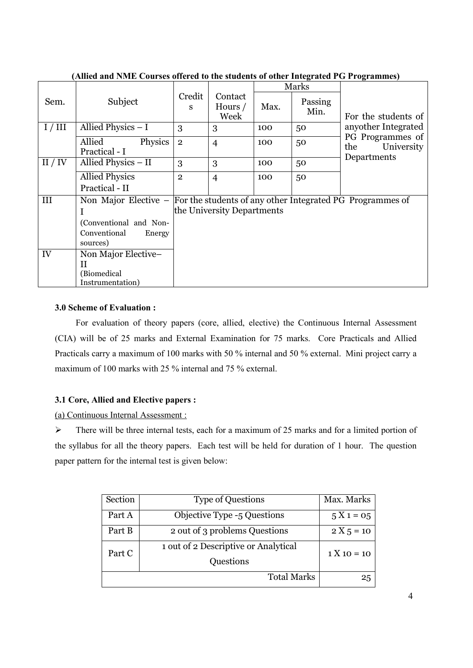|         | $\mu$ miya ana i wili Coursys offerva to the stauding of other filtegrated FO I rogrammes) |                |                            |      |                 |                                       |
|---------|--------------------------------------------------------------------------------------------|----------------|----------------------------|------|-----------------|---------------------------------------|
|         |                                                                                            |                |                            |      | Marks           |                                       |
| Sem.    | Subject                                                                                    | Credit<br>S    | Contact<br>Hours /<br>Week | Max. | Passing<br>Min. | For the students of                   |
| I/III   | Allied Physics - I                                                                         | 3              | 3                          | 100  | 50              | anyother Integrated                   |
|         | Allied<br>Physics<br>Practical - I                                                         | $\overline{2}$ | $\overline{4}$             | 100  | 50              | PG Programmes of<br>University<br>the |
| II / IV | Allied Physics - II                                                                        | 3              | 3                          | 100  | 50              | Departments                           |
|         | <b>Allied Physics</b>                                                                      | $\overline{2}$ | $\overline{4}$             | 100  | 50              |                                       |
|         | Practical - II                                                                             |                |                            |      |                 |                                       |
| III     | Non Major Elective $-$ For the students of any other Integrated PG Programmes of           |                |                            |      |                 |                                       |
|         |                                                                                            |                | the University Departments |      |                 |                                       |
|         | (Conventional and Non-                                                                     |                |                            |      |                 |                                       |
|         | Conventional<br>Energy                                                                     |                |                            |      |                 |                                       |
|         | sources)                                                                                   |                |                            |      |                 |                                       |
| IV      | Non Major Elective-                                                                        |                |                            |      |                 |                                       |
|         | H                                                                                          |                |                            |      |                 |                                       |
|         | (Biomedical                                                                                |                |                            |      |                 |                                       |
|         | Instrumentation)                                                                           |                |                            |      |                 |                                       |

**(Allied and NME Courses offered to the students of other Integrated PG Programmes)** 

# **3.0 Scheme of Evaluation :**

For evaluation of theory papers (core, allied, elective) the Continuous Internal Assessment (CIA) will be of 25 marks and External Examination for 75 marks. Core Practicals and Allied Practicals carry a maximum of 100 marks with 50 % internal and 50 % external. Mini project carry a maximum of 100 marks with 25 % internal and 75 % external.

# **3.1 Core, Allied and Elective papers :**

(a) Continuous Internal Assessment :

 $\triangleright$  There will be three internal tests, each for a maximum of 25 marks and for a limited portion of the syllabus for all the theory papers. Each test will be held for duration of 1 hour. The question paper pattern for the internal test is given below:

| Section | <b>Type of Questions</b>             | Max. Marks    |
|---------|--------------------------------------|---------------|
| Part A  | Objective Type -5 Questions          | $5 X 1 = 05$  |
| Part B  | 2 out of 3 problems Questions        | $2 X 5 = 10$  |
| Part C  | 1 out of 2 Descriptive or Analytical | $1 X 10 = 10$ |
|         | Questions                            |               |
|         | <b>Total Marks</b>                   | 25            |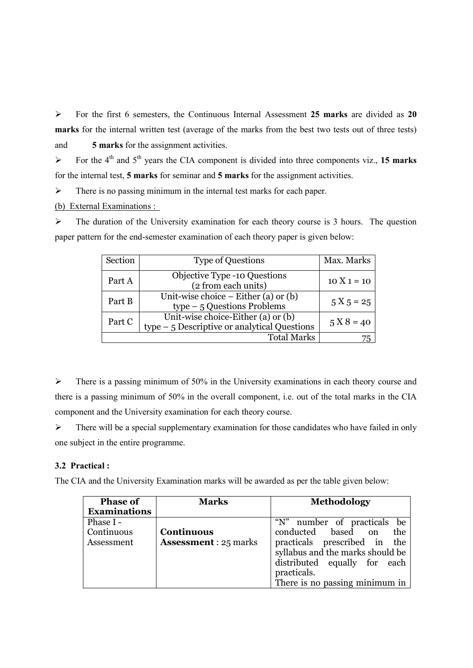For the first 6 semesters, the Continuous Internal Assessment **25 marks** are divided as **20 marks** for the internal written test (average of the marks from the best two tests out of three tests) and **5 marks** for the assignment activities.

 $\triangleright$  For the 4<sup>th</sup> and 5<sup>th</sup> years the CIA component is divided into three components viz., 15 marks for the internal test, **5 marks** for seminar and **5 marks** for the assignment activities.

 $\triangleright$  There is no passing minimum in the internal test marks for each paper.

(b) External Examinations :

 $\triangleright$  The duration of the University examination for each theory course is 3 hours. The question paper pattern for the end-semester examination of each theory paper is given below:

| Section | <b>Type of Questions</b>                                                           | Max. Marks    |
|---------|------------------------------------------------------------------------------------|---------------|
| Part A  | <b>Objective Type -10 Questions</b><br>(2 from each units)                         | $10 X 1 = 10$ |
| Part B  | Unit-wise choice $-$ Either (a) or (b)<br>$type-5$ Questions Problems              | $5 X 5 = 25$  |
| Part C  | Unit-wise choice-Either (a) or (b)<br>$type-5$ Descriptive or analytical Questions | $5 X 8 = 40$  |
|         | <b>Total Marks</b>                                                                 | 75            |

 $\triangleright$  There is a passing minimum of 50% in the University examinations in each theory course and there is a passing minimum of 50% in the overall component, i.e. out of the total marks in the CIA component and the University examination for each theory course.

 $\triangleright$  There will be a special supplementary examination for those candidates who have failed in only one subject in the entire programme.

# **3.2 Practical :**

The CIA and the University Examination marks will be awarded as per the table given below:

| <b>Phase of</b>     | <b>Marks</b>                 | <b>Methodology</b>               |
|---------------------|------------------------------|----------------------------------|
| <b>Examinations</b> |                              |                                  |
| Phase I -           |                              | "N" number of practicals be      |
| Continuous          | <b>Continuous</b>            | conducted based on<br>the        |
| Assessment          | <b>Assessment</b> : 25 marks | practicals prescribed in<br>the  |
|                     |                              | syllabus and the marks should be |
|                     |                              | distributed equally for each     |
|                     |                              | practicals.                      |
|                     |                              | There is no passing minimum in   |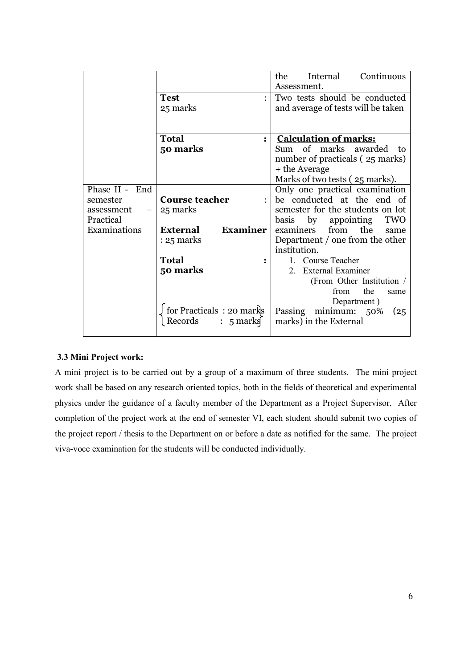|                |                                    | Continuous<br>the<br>Internal      |
|----------------|------------------------------------|------------------------------------|
|                |                                    | Assessment.                        |
|                | <b>Test</b>                        | Two tests should be conducted      |
|                | 25 marks                           | and average of tests will be taken |
|                |                                    |                                    |
|                |                                    |                                    |
|                | <b>Total</b><br>$\bullet$          | <b>Calculation of marks:</b>       |
|                | 50 marks                           | Sum of marks awarded<br>- to       |
|                |                                    | number of practicals (25 marks)    |
|                |                                    | + the Average                      |
|                |                                    | Marks of two tests (25 marks).     |
| Phase II - End |                                    | Only one practical examination     |
| semester       | <b>Course teacher</b>              | be conducted at the end of         |
| assessment     | 25 marks                           | semester for the students on lot   |
| Practical      |                                    | basis by appointing<br><b>TWO</b>  |
| Examinations   | <b>Examiner</b><br><b>External</b> | from the<br>examiners<br>same      |
|                | $: 25$ marks                       | Department / one from the other    |
|                |                                    | institution.                       |
|                | <b>Total</b>                       | 1. Course Teacher                  |
|                | 50 marks                           | 2. External Examiner               |
|                |                                    | (From Other Institution /          |
|                |                                    | the<br>from<br>same                |
|                |                                    | Department)                        |
|                |                                    | Passing minimum: 50%<br>(25)       |
|                |                                    | marks) in the External             |
|                |                                    |                                    |

# **3.3 Mini Project work:**

A mini project is to be carried out by a group of a maximum of three students. The mini project work shall be based on any research oriented topics, both in the fields of theoretical and experimental physics under the guidance of a faculty member of the Department as a Project Supervisor. After completion of the project work at the end of semester VI, each student should submit two copies of the project report / thesis to the Department on or before a date as notified for the same. The project viva-voce examination for the students will be conducted individually.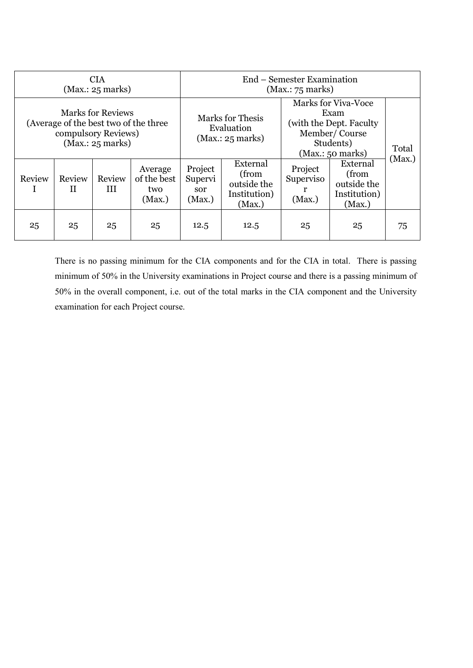| <b>CIA</b><br>(Max.: 25 marks)                                                                               |             |              | End – Semester Examination<br>(Max.: 75 marks)            |                                     |                                                                                                                  |                                |                                                            |    |
|--------------------------------------------------------------------------------------------------------------|-------------|--------------|-----------------------------------------------------------|-------------------------------------|------------------------------------------------------------------------------------------------------------------|--------------------------------|------------------------------------------------------------|----|
| <b>Marks for Reviews</b><br>(Average of the best two of the three<br>compulsory Reviews)<br>(Max.: 25 marks) |             |              | <b>Marks for Thesis</b><br>Evaluation<br>(Max.: 25 marks) |                                     | <b>Marks for Viva-Voce</b><br>Exam<br>(with the Dept. Faculty)<br>Member/Course<br>Students)<br>(Max.: 50 marks) |                                | Total<br>(Max.)                                            |    |
| Review                                                                                                       | Review<br>H | Review<br>HІ | Average<br>of the best<br>two<br>(Max.)                   | Project<br>Supervi<br>sor<br>(Max.) | External<br>(from<br>outside the<br>Institution)<br>(Max.)                                                       | Project<br>Superviso<br>(Max.) | External<br>(from<br>outside the<br>Institution)<br>(Max.) |    |
| 25                                                                                                           | 25          | 25           | 25                                                        | 12.5                                | 12.5                                                                                                             | 25                             | 25                                                         | 75 |

There is no passing minimum for the CIA components and for the CIA in total. There is passing minimum of 50% in the University examinations in Project course and there is a passing minimum of 50% in the overall component, i.e. out of the total marks in the CIA component and the University examination for each Project course.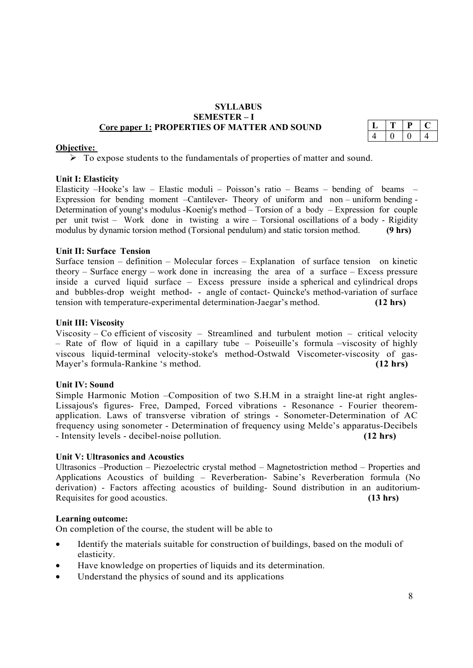#### **SYLLABUS SEMESTER – I Core paper 1: PROPERTIES OF MATTER AND SOUND**

#### **Objective:**

 $\triangleright$  To expose students to the fundamentals of properties of matter and sound.

#### **Unit I: Elasticity**

Elasticity –Hooke's law – Elastic moduli – Poisson's ratio – Beams – bending of beams – Expression for bending moment –Cantilever- Theory of uniform and non – uniform bending - Determination of young's modulus -Koenig's method – Torsion of a body – Expression for couple per unit twist – Work done in twisting a wire – Torsional oscillations of a body - Rigidity modulus by dynamic torsion method (Torsional pendulum) and static torsion method. **(9 hrs)**

#### **Unit II: Surface Tension**

Surface tension – definition – Molecular forces – Explanation of surface tension on kinetic theory – Surface energy – work done in increasing the area of a surface – Excess pressure inside a curved liquid surface – Excess pressure inside a spherical and cylindrical drops and bubbles-drop weight method- - angle of contact- Quincke's method-variation of surface tension with temperature-experimental determination-Jaegar's method. **(12 hrs)**

#### **Unit III: Viscosity**

Viscosity – Co efficient of viscosity – Streamlined and turbulent motion – critical velocity – Rate of flow of liquid in a capillary tube – Poiseuille's formula –viscosity of highly viscous liquid-terminal velocity-stoke's method-Ostwald Viscometer-viscosity of gas-Mayer's formula-Rankine 's method. **(12 hrs)**

#### **Unit IV: Sound**

Simple Harmonic Motion –Composition of two S.H.M in a straight line-at right angles-Lissajous's figures- Free, Damped, Forced vibrations - Resonance - Fourier theoremapplication. Laws of transverse vibration of strings - Sonometer-Determination of AC frequency using sonometer - Determination of frequency using Melde's apparatus-Decibels - Intensity levels - decibel-noise pollution. **(12 hrs)**

#### **Unit V: Ultrasonics and Acoustics**

Ultrasonics –Production – Piezoelectric crystal method – Magnetostriction method – Properties and Applications Acoustics of building – Reverberation- Sabine's Reverberation formula (No derivation) - Factors affecting acoustics of building- Sound distribution in an auditorium-Requisites for good acoustics. **(13 hrs)**

#### **Learning outcome:**

On completion of the course, the student will be able to

- Identify the materials suitable for construction of buildings, based on the moduli of elasticity.
- Have knowledge on properties of liquids and its determination.
- Understand the physics of sound and its applications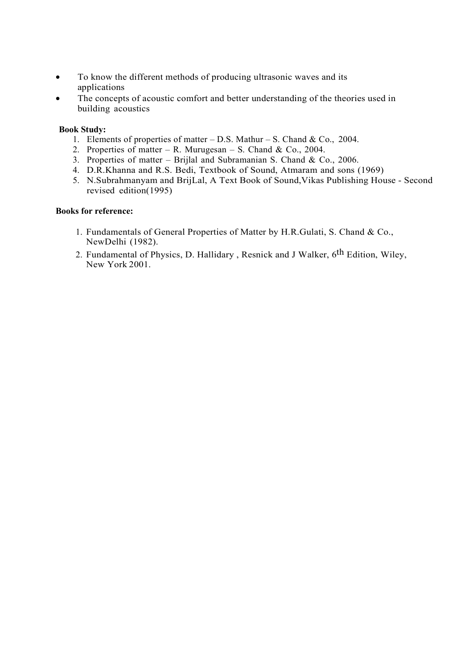- To know the different methods of producing ultrasonic waves and its applications
- The concepts of acoustic comfort and better understanding of the theories used in building acoustics

#### **Book Study:**

- 1. Elements of properties of matter D.S. Mathur S. Chand & Co., 2004.
- 2. Properties of matter R. Murugesan S. Chand & Co., 2004.
- 3. Properties of matter Brijlal and Subramanian S. Chand & Co., 2006.
- 4. D.R.Khanna and R.S. Bedi, Textbook of Sound, Atmaram and sons (1969)
- 5. N.Subrahmanyam and BrijLal, A Text Book of Sound,Vikas Publishing House Second revised edition(1995)

#### **Books for reference:**

- 1. Fundamentals of General Properties of Matter by H.R.Gulati, S. Chand & Co., NewDelhi (1982).
- 2. Fundamental of Physics, D. Hallidary , Resnick and J Walker, 6th Edition, Wiley, New York 2001.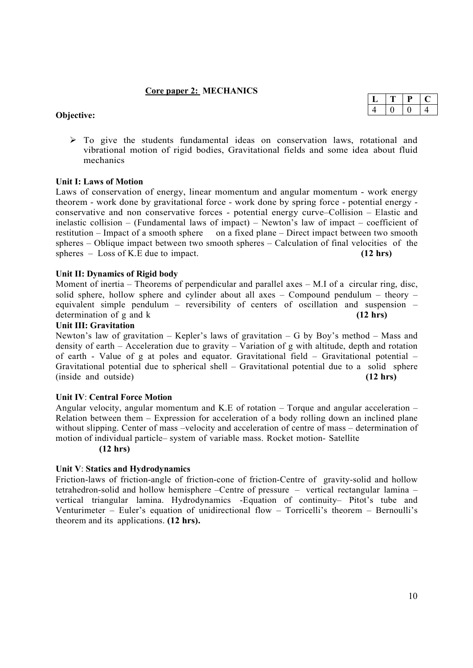#### **Core paper 2: MECHANICS**

#### **Objective:**

| 4 |  |  |
|---|--|--|

 $\geq$  To give the students fundamental ideas on conservation laws, rotational and vibrational motion of rigid bodies, Gravitational fields and some idea about fluid mechanics

#### **Unit I: Laws of Motion**

Laws of conservation of energy, linear momentum and angular momentum - work energy theorem - work done by gravitational force - work done by spring force - potential energy conservative and non conservative forces - potential energy curve–Collision – Elastic and inelastic collision – (Fundamental laws of impact) – Newton's law of impact – coefficient of restitution – Impact of a smooth sphere on a fixed plane – Direct impact between two smooth spheres – Oblique impact between two smooth spheres – Calculation of final velocities of the spheres – Loss of K.E due to impact. **(12 hrs) (12 hrs)** 

#### **Unit II: Dynamics of Rigid body**

Moment of inertia – Theorems of perpendicular and parallel axes – M.I of a circular ring, disc, solid sphere, hollow sphere and cylinder about all axes – Compound pendulum – theory – equivalent simple pendulum – reversibility of centers of oscillation and suspension – determination of g and k **(12 hrs)**

#### **Unit III: Gravitation**

Newton's law of gravitation – Kepler's laws of gravitation – G by Boy's method – Mass and density of earth – Acceleration due to gravity – Variation of g with altitude, depth and rotation of earth - Value of g at poles and equator. Gravitational field – Gravitational potential – Gravitational potential due to spherical shell – Gravitational potential due to a solid sphere (inside and outside) **(12 hrs)**

#### **Unit IV**: **Central Force Motion**

Angular velocity, angular momentum and K.E of rotation – Torque and angular acceleration – Relation between them – Expression for acceleration of a body rolling down an inclined plane without slipping. Center of mass –velocity and acceleration of centre of mass – determination of motion of individual particle– system of variable mass. Rocket motion- Satellite

**(12 hrs)**

#### **Unit V**: **Statics and Hydrodynamics**

Friction-laws of friction-angle of friction-cone of friction-Centre of gravity-solid and hollow tetrahedron-solid and hollow hemisphere –Centre of pressure – vertical rectangular lamina – vertical triangular lamina. Hydrodynamics -Equation of continuity– Pitot's tube and Venturimeter – Euler's equation of unidirectional flow – Torricelli's theorem – Bernoulli's theorem and its applications. **(12 hrs).**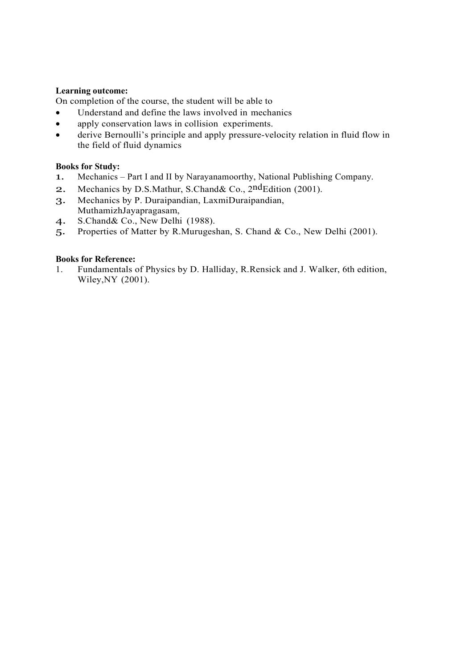# **Learning outcome:**

On completion of the course, the student will be able to

- Understand and define the laws involved in mechanics
- apply conservation laws in collision experiments.
- derive Bernoulli's principle and apply pressure-velocity relation in fluid flow in the field of fluid dynamics

#### **Books for Study:**

- 1. Mechanics Part I and II by Narayanamoorthy, National Publishing Company.
- 2. Mechanics by D.S.Mathur, S.Chand& Co., 2<sup>nd</sup>Edition (2001).
- 3. Mechanics by P. Duraipandian, LaxmiDuraipandian, MuthamizhJayapragasam,
- 4. S.Chand& Co., New Delhi (1988).
- 5. Properties of Matter by R.Murugeshan, S. Chand & Co., New Delhi (2001).

### **Books for Reference:**

1. Fundamentals of Physics by D. Halliday, R.Rensick and J. Walker, 6th edition, Wiley,NY (2001).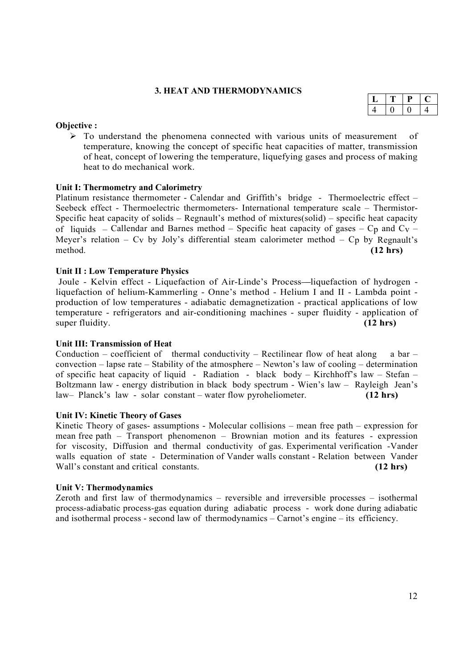#### **3. HEAT AND THERMODYNAMICS**

#### **Objective :**

 $\triangleright$  To understand the phenomena connected with various units of measurement of temperature, knowing the concept of specific heat capacities of matter, transmission of heat, concept of lowering the temperature, liquefying gases and process of making heat to do mechanical work.

#### **Unit I: Thermometry and Calorimetry**

Platinum resistance thermometer - Calendar and Griffith's bridge - Thermoelectric effect – Seebeck effect - Thermoelectric thermometers- International temperature scale – Thermistor-Specific heat capacity of solids – Regnault's method of mixtures(solid) – specific heat capacity of liquids – Callendar and Barnes method – Specific heat capacity of gases –  $C_p$  and  $C_v$  – Meyer's relation – C<sub>v</sub> by Joly's differential steam calorimeter method – C<sub>p</sub> by Regnault's method. **(12 hrs)**

#### **Unit II : Low Temperature Physics**

Joule - Kelvin effect - Liquefaction of Air-Linde's Process –liquefaction of hydrogen liquefaction of helium-Kammerling - Onne's method - Helium I and II - Lambda point production of low temperatures - adiabatic demagnetization - practical applications of low temperature - refrigerators and air-conditioning machines - super fluidity - application of super fluidity. **(12 hrs) (12 hrs)** 

#### **Unit III: Transmission of Heat**

Conduction – coefficient of thermal conductivity – Rectilinear flow of heat along a bar – convection – lapse rate – Stability of the atmosphere – Newton's law of cooling – determination of specific heat capacity of liquid - Radiation - black body – Kirchhoff's law – Stefan – Boltzmann law - energy distribution in black body spectrum - Wien's law – Rayleigh Jean's law– Planck's law - solar constant – water flow pyroheliometer. **(12 hrs)**

#### **Unit IV: Kinetic Theory of Gases**

Kinetic Theory of gases- assumptions - Molecular collisions – mean free path – expression for mean free path – Transport phenomenon – Brownian motion and its features - expression for viscosity, Diffusion and thermal conductivity of gas. Experimental verification -Vander walls equation of state - Determination of Vander walls constant - Relation between Vander Wall's constant and critical constants. **(12 hrs)**

#### **Unit V: Thermodynamics**

Zeroth and first law of thermodynamics – reversible and irreversible processes – isothermal process-adiabatic process-gas equation during adiabatic process - work done during adiabatic and isothermal process - second law of thermodynamics – Carnot's engine – its efficiency.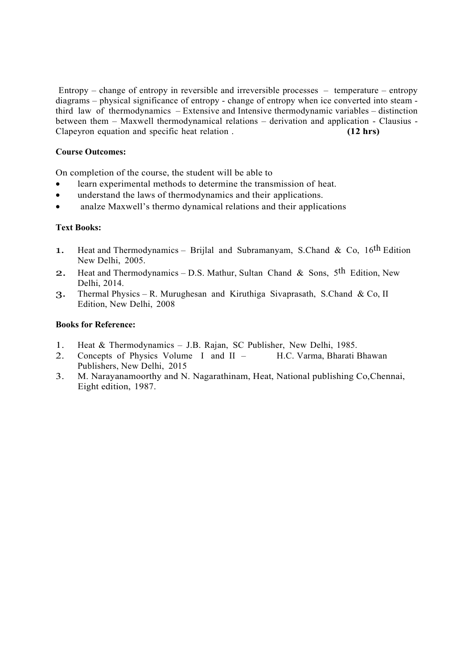Entropy – change of entropy in reversible and irreversible processes – temperature – entropy diagrams – physical significance of entropy - change of entropy when ice converted into steam third law of thermodynamics – Extensive and Intensive thermodynamic variables – distinction between them – Maxwell thermodynamical relations – derivation and application - Clausius - Clapeyron equation and specific heat relation . **(12 hrs)**

# **Course Outcomes:**

On completion of the course, the student will be able to

- learn experimental methods to determine the transmission of heat.
- understand the laws of thermodynamics and their applications.
- analze Maxwell's thermo dynamical relations and their applications

# **Text Books:**

- 1. Heat and Thermodynamics Brijlal and Subramanyam, S.Chand & Co,  $16$ <sup>th</sup> Edition New Delhi, 2005.
- 2. Heat and Thermodynamics D.S. Mathur, Sultan Chand & Sons, 5th Edition, New Delhi, 2014.
- 3. Thermal Physics R. Murughesan and Kiruthiga Sivaprasath, S.Chand & Co, II Edition, New Delhi, 2008

#### **Books for Reference:**

- 1. Heat & Thermodynamics J.B. Rajan, SC Publisher, New Delhi, 1985.
- 2. Concepts of Physics Volume I and II H.C. Varma, Bharati Bhawan Publishers, New Delhi, 2015
- 3. M. Narayanamoorthy and N. Nagarathinam, Heat, National publishing Co,Chennai, Eight edition, 1987.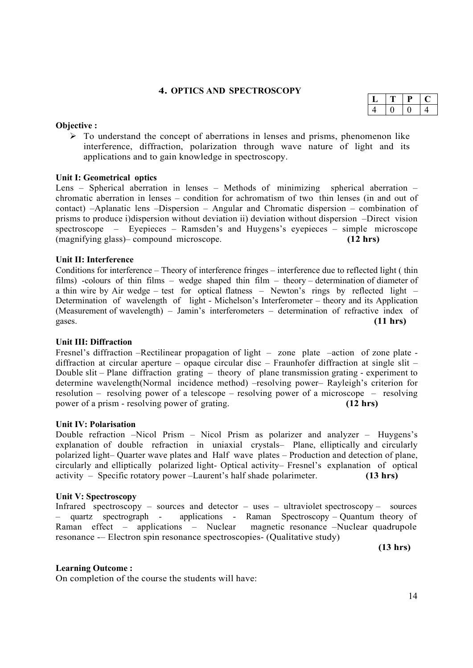# **4. OPTICS AND SPECTROSCOPY**

#### **Objective :**

 $\triangleright$  To understand the concept of aberrations in lenses and prisms, phenomenon like interference, diffraction, polarization through wave nature of light and its applications and to gain knowledge in spectroscopy.

#### **Unit I: Geometrical optics**

Lens – Spherical aberration in lenses – Methods of minimizing spherical aberration – chromatic aberration in lenses – condition for achromatism of two thin lenses (in and out of contact) –Aplanatic lens –Dispersion – Angular and Chromatic dispersion – combination of prisms to produce i)dispersion without deviation ii) deviation without dispersion –Direct vision spectroscope – Eyepieces – Ramsden's and Huygens's eyepieces – simple microscope (magnifying glass)– compound microscope. **(12 hrs)**

#### **Unit II: Interference**

Conditions for interference – Theory of interference fringes – interference due to reflected light ( thin films) -colours of thin films – wedge shaped thin film – theory – determination of diameter of a thin wire by Air wedge – test for optical flatness – Newton's rings by reflected light – Determination of wavelength of light - Michelson's Interferometer – theory and its Application (Measurement of wavelength) – Jamin's interferometers – determination of refractive index of gases. **(11 hrs)**

#### **Unit III: Diffraction**

Fresnel's diffraction –Rectilinear propagation of light – zone plate –action of zone plate diffraction at circular aperture – opaque circular disc – Fraunhofer diffraction at single slit – Double slit – Plane diffraction grating – theory of plane transmission grating - experiment to determine wavelength(Normal incidence method) –resolving power– Rayleigh's criterion for resolution – resolving power of a telescope – resolving power of a microscope – resolving power of a prism - resolving power of grating. **(12 hrs)**

#### **Unit IV: Polarisation**

Double refraction –Nicol Prism – Nicol Prism as polarizer and analyzer – Huygens's explanation of double refraction in uniaxial crystals– Plane, elliptically and circularly polarized light– Quarter wave plates and Half wave plates – Production and detection of plane, circularly and elliptically polarized light- Optical activity– Fresnel's explanation of optical activity – Specific rotatory power –Laurent's half shade polarimeter. **(13 hrs)**

#### **Unit V: Spectroscopy**

Infrared spectroscopy – sources and detector – uses – ultraviolet spectroscopy – sources<br>
– quartz spectroscopy – applications - Raman Spectroscopy – Quantum theory of applications - Raman Spectroscopy – Quantum theory of  $\text{S}$  – Nuclear magnetic resonance – Nuclear quadrupole Raman effect – applications – Nuclear resonance -– Electron spin resonance spectroscopies- (Qualitative study)

 **(13 hrs)**

#### **Learning Outcome :**

On completion of the course the students will have: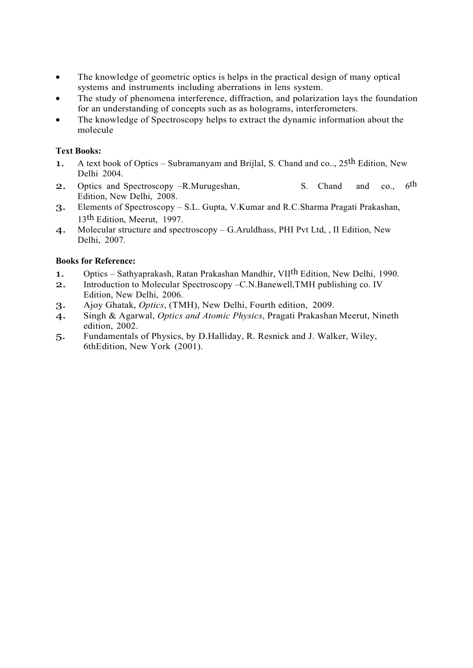- The knowledge of geometric optics is helps in the practical design of many optical systems and instruments including aberrations in lens system.
- The study of phenomena interference, diffraction, and polarization lays the foundation for an understanding of concepts such as as holograms, interferometers.
- The knowledge of Spectroscopy helps to extract the dynamic information about the molecule

# **Text Books:**

- 1. A text book of Optics Subramanyam and Brijlal, S. Chand and co..,  $25^{th}$  Edition, New Delhi 2004.
- 2. Optics and Spectroscopy –R.Murugeshan, S. Chand and co., 6<sup>th</sup> Edition, New Delhi, 2008.
- 3. Elements of Spectroscopy S.L. Gupta, V.Kumar and R.C.Sharma Pragati Prakashan, 13th Edition, Meerut, 1997.
- 4. Molecular structure and spectroscopy G.Aruldhass, PHI Pvt Ltd, , II Edition, New Delhi, 2007.

# **Books for Reference:**

- 1. Optics Sathyaprakash, Ratan Prakashan Mandhir, VII<sup>th</sup> Edition, New Delhi, 1990.
- 2. Introduction to Molecular Spectroscopy –C.N.Banewell,TMH publishing co. IV Edition, New Delhi, 2006.
- 3. Ajoy Ghatak, *Optics*, (TMH), New Delhi, Fourth edition, 2009.
- 4. Singh & Agarwal, *Optics and Atomic Physics*, Pragati Prakashan Meerut, Nineth edition, 2002.
- 5. Fundamentals of Physics, by D.Halliday, R. Resnick and J. Walker, Wiley, 6thEdition, New York (2001).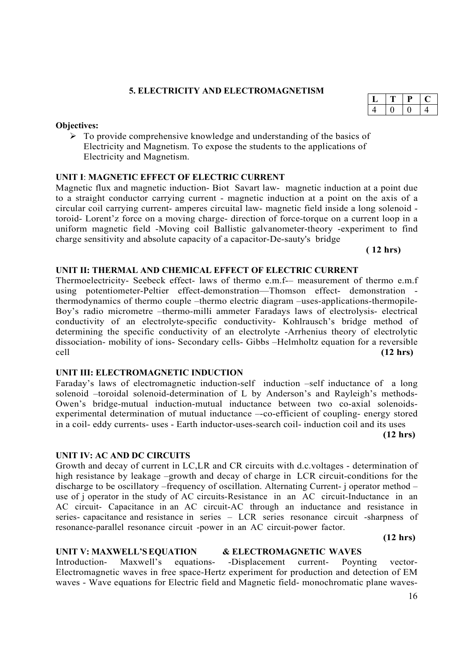# **5. ELECTRICITY AND ELECTROMAGNETISM**

# **Objectives:**

 $\triangleright$  To provide comprehensive knowledge and understanding of the basics of Electricity and Magnetism. To expose the students to the applications of Electricity and Magnetism.

# **UNIT I**: **MAGNETIC EFFECT OF ELECTRIC CURRENT**

Magnetic flux and magnetic induction- Biot Savart law- magnetic induction at a point due to a straight conductor carrying current - magnetic induction at a point on the axis of a circular coil carrying current- amperes circuital law- magnetic field inside a long solenoid toroid- Lorent'z force on a moving charge- direction of force-torque on a current loop in a uniform magnetic field -Moving coil Ballistic galvanometer-theory -experiment to find charge sensitivity and absolute capacity of a capacitor-De-sauty's bridge

**( 12 hrs)**

# **UNIT II: THERMAL AND CHEMICAL EFFECT OF ELECTRIC CURRENT**

Thermoelectricity- Seebeck effect- laws of thermo e.m.f-– measurement of thermo e.m.f using potentiometer-Peltier effect-demonstration—Thomson effect- demonstration thermodynamics of thermo couple –thermo electric diagram –uses-applications-thermopile-Boy's radio micrometre –thermo-milli ammeter Faradays laws of electrolysis- electrical conductivity of an electrolyte-specific conductivity- Kohlrausch's bridge method of determining the specific conductivity of an electrolyte -Arrhenius theory of electrolytic dissociation- mobility of ions- Secondary cells- Gibbs –Helmholtz equation for a reversible cell **(12 hrs)**

# **UNIT III: ELECTROMAGNETIC INDUCTION**

Faraday's laws of electromagnetic induction-self induction –self inductance of a long solenoid –toroidal solenoid-determination of L by Anderson's and Rayleigh's methods-Owen's bridge-mutual induction-mutual inductance between two co-axial solenoidsexperimental determination of mutual inductance –-co-efficient of coupling- energy stored in a coil- eddy currents- uses - Earth inductor-uses-search coil- induction coil and its uses

**(12 hrs)**

# **UNIT IV: AC AND DC CIRCUITS**

Growth and decay of current in LC,LR and CR circuits with d.c.voltages - determination of high resistance by leakage –growth and decay of charge in LCR circuit-conditions for the discharge to be oscillatory –frequency of oscillation. Alternating Current- j operator method – use of j operator in the study of AC circuits-Resistance in an AC circuit-Inductance in an AC circuit- Capacitance in an AC circuit-AC through an inductance and resistance in series- capacitance and resistance in series – LCR series resonance circuit -sharpness of resonance-parallel resonance circuit -power in an AC circuit-power factor.

**(12 hrs)**

# **UNIT V: MAXWELL'S EQUATION & ELECTROMAGNETIC WAVES**<br>Introduction- Maxwell's equations- -Displacement current- Poynt

Introduction- Maxwell's equations- -Displacement current- Poynting vector-Electromagnetic waves in free space-Hertz experiment for production and detection of EM waves - Wave equations for Electric field and Magnetic field- monochromatic plane waves-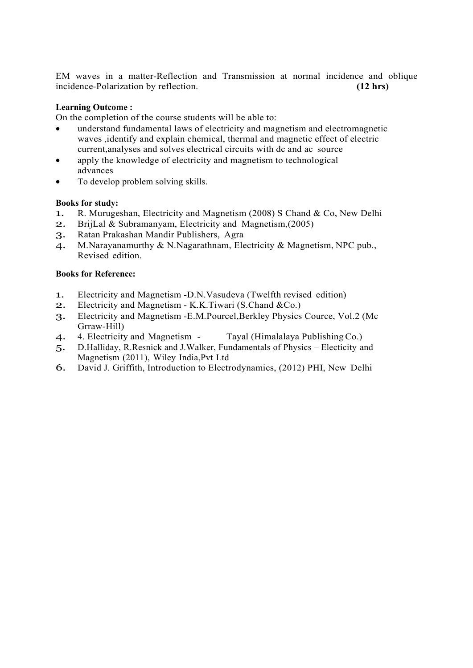EM waves in a matter-Reflection and Transmission at normal incidence and oblique incidence-Polarization by reflection. **(12 hrs)**

# **Learning Outcome :**

On the completion of the course students will be able to:

- understand fundamental laws of electricity and magnetism and electromagnetic waves ,identify and explain chemical, thermal and magnetic effect of electric current,analyses and solves electrical circuits with dc and ac source
- apply the knowledge of electricity and magnetism to technological advances
- To develop problem solving skills.

# **Books for study:**

- 1. R. Murugeshan, Electricity and Magnetism (2008) S Chand & Co, New Delhi<br>2. BritLal & Subramanyam. Electricity and Magnetism (2005)
- BrijLal & Subramanyam, Electricity and Magnetism,(2005)
- 3. Ratan Prakashan Mandir Publishers, Agra
- 4. M.Narayanamurthy & N.Nagarathnam, Electricity & Magnetism, NPC pub., Revised edition.

# **Books for Reference:**

- 1. Electricity and Magnetism -D.N.Vasudeva (Twelfth revised edition)
- 2. Electricity and Magnetism K.K.Tiwari (S.Chand &Co.)
- 3. Electricity and Magnetism -E.M.Pourcel,Berkley Physics Cource, Vol.2 (Mc Grraw-Hill)
- 4. 4. Electricity and Magnetism Tayal (Himalalaya Publishing Co.)
- 5. D.Halliday, R.Resnick and J.Walker, Fundamentals of Physics Electicity and Magnetism (2011), Wiley India,Pvt Ltd
- 6. David J. Griffith, Introduction to Electrodynamics, (2012) PHI, New Delhi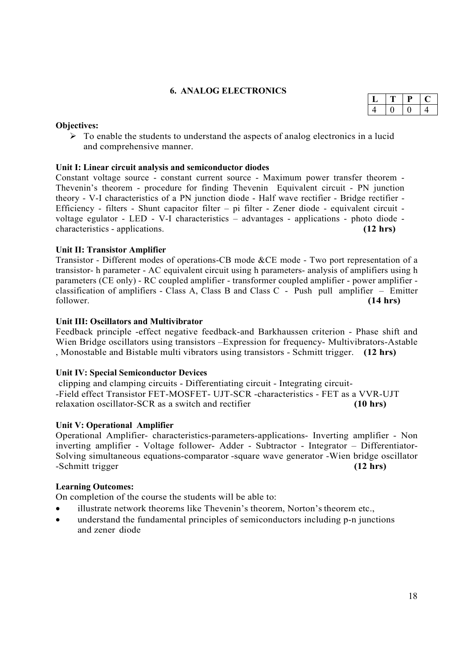# **6. ANALOG ELECTRONICS**

# **Objectives:**

 $\triangleright$  To enable the students to understand the aspects of analog electronics in a lucid and comprehensive manner.

# **Unit I: Linear circuit analysis and semiconductor diodes**

Constant voltage source - constant current source - Maximum power transfer theorem - Thevenin's theorem - procedure for finding Thevenin Equivalent circuit - PN junction theory - V-I characteristics of a PN junction diode - Half wave rectifier - Bridge rectifier - Efficiency - filters - Shunt capacitor filter – pi filter - Zener diode - equivalent circuit voltage egulator - LED - V-I characteristics – advantages - applications - photo diode characteristics - applications. **(12 hrs)**

# **Unit II: Transistor Amplifier**

Transistor - Different modes of operations-CB mode &CE mode - Two port representation of a transistor- h parameter - AC equivalent circuit using h parameters- analysis of amplifiers using h parameters (CE only) - RC coupled amplifier - transformer coupled amplifier - power amplifier classification of amplifiers - Class A, Class B and Class C - Push pull amplifier – Emitter follower. **(14 hrs)**

# **Unit III: Oscillators and Multivibrator**

Feedback principle -effect negative feedback-and Barkhaussen criterion - Phase shift and Wien Bridge oscillators using transistors –Expression for frequency- Multivibrators-Astable , Monostable and Bistable multi vibrators using transistors - Schmitt trigger. **(12 hrs)**

# **Unit IV: Special Semiconductor Devices**

clipping and clamping circuits - Differentiating circuit - Integrating circuit- -Field effect Transistor FET-MOSFET- UJT-SCR -characteristics - FET as a VVR-UJT relaxation oscillator-SCR as a switch and rectifier **(10 hrs)**

# **Unit V: Operational Amplifier**

Operational Amplifier- characteristics-parameters-applications- Inverting amplifier - Non inverting amplifier - Voltage follower- Adder - Subtractor - Integrator – Differentiator-Solving simultaneous equations-comparator -square wave generator -Wien bridge oscillator -Schmitt trigger (12 hrs) -Schmitt trigger

# **Learning Outcomes:**

On completion of the course the students will be able to:

- illustrate network theorems like Thevenin's theorem, Norton's theorem etc.,
- understand the fundamental principles of semiconductors including p-n junctions and zener diode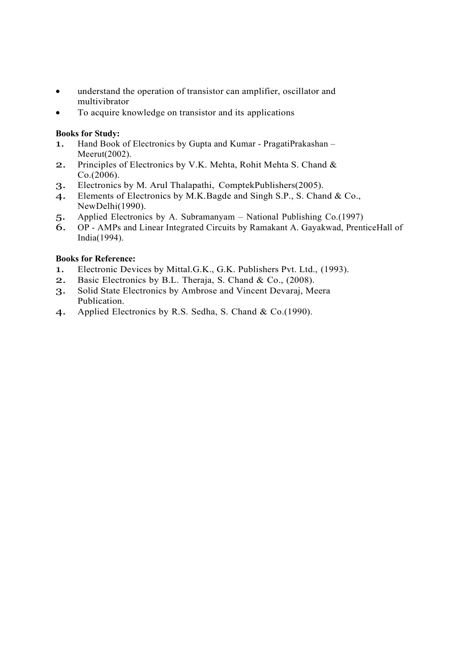- understand the operation of transistor can amplifier, oscillator and multivibrator
- To acquire knowledge on transistor and its applications

# **Books for Study:**

- 1. Hand Book of Electronics by Gupta and Kumar PragatiPrakashan Meerut(2002).
- 2. Principles of Electronics by V.K. Mehta, Rohit Mehta S. Chand & Co.(2006).
- 3. Electronics by M. Arul Thalapathi, ComptekPublishers(2005).
- 4. Elements of Electronics by M.K.Bagde and Singh S.P., S. Chand & Co., NewDelhi(1990).
- 5. Applied Electronics by A. Subramanyam National Publishing Co.(1997)
- 6. OP AMPs and Linear Integrated Circuits by Ramakant A. Gayakwad, PrenticeHall of India(1994).

# **Books for Reference:**

- 1. Electronic Devices by Mittal.G.K., G.K. Publishers Pvt. Ltd., (1993).
- 2. Basic Electronics by B.L. Theraja, S. Chand & Co., (2008).
- 3. Solid State Electronics by Ambrose and Vincent Devaraj, Meera Publication.
- 4. Applied Electronics by R.S. Sedha, S. Chand & Co.(1990).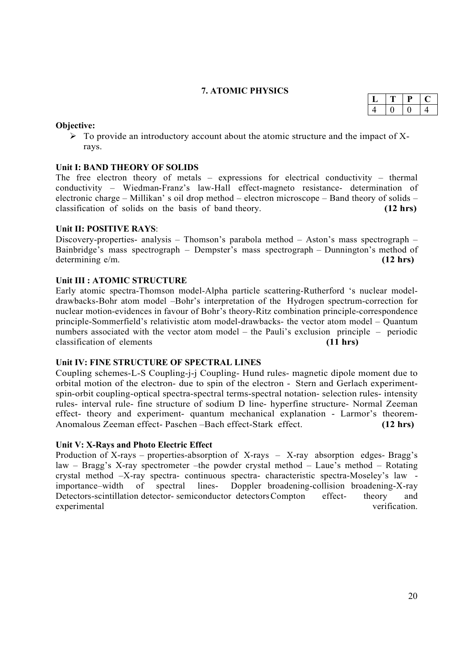# **7. ATOMIC PHYSICS**

#### **Objective:**

 $\triangleright$  To provide an introductory account about the atomic structure and the impact of Xrays.

# **Unit I: BAND THEORY OF SOLIDS**

The free electron theory of metals – expressions for electrical conductivity – thermal conductivity – Wiedman-Franz's law-Hall effect-magneto resistance- determination of electronic charge – Millikan' s oil drop method – electron microscope – Band theory of solids – classification of solids on the basis of band theory. **(12 hrs)**

#### **Unit II: POSITIVE RAYS**:

Discovery-properties- analysis – Thomson's parabola method – Aston's mass spectrograph – Bainbridge's mass spectrograph – Dempster's mass spectrograph – Dunnington's method of determining e/m. **(12 hrs)**

#### **Unit III : ATOMIC STRUCTURE**

Early atomic spectra-Thomson model-Alpha particle scattering-Rutherford 's nuclear modeldrawbacks-Bohr atom model –Bohr's interpretation of the Hydrogen spectrum-correction for nuclear motion-evidences in favour of Bohr's theory-Ritz combination principle-correspondence principle-Sommerfield's relativistic atom model-drawbacks- the vector atom model – Quantum numbers associated with the vector atom model – the Pauli's exclusion principle – periodic classification of elements **(11 hrs)**

#### **Unit IV: FINE STRUCTURE OF SPECTRAL LINES**

Coupling schemes-L-S Coupling-j-j Coupling- Hund rules- magnetic dipole moment due to orbital motion of the electron- due to spin of the electron - Stern and Gerlach experimentspin-orbit coupling-optical spectra-spectral terms-spectral notation- selection rules- intensity rules- interval rule- fine structure of sodium D line- hyperfine structure- Normal Zeeman effect- theory and experiment- quantum mechanical explanation - Larmor's theorem-Anomalous Zeeman effect- Paschen –Bach effect-Stark effect. **(12 hrs)**

#### **Unit V: X-Rays and Photo Electric Effect**

Production of X-rays – properties-absorption of X-rays – X-ray absorption edges- Bragg's law – Bragg's X-ray spectrometer –the powder crystal method – Laue's method – Rotating crystal method –X-ray spectra- continuous spectra- characteristic spectra-Moseley's law importance–width of spectral lines- Doppler broadening-collision broadening-X-ray Detectors-scintillation detector- semiconductor detectors Compton effect- theory and experimental verification.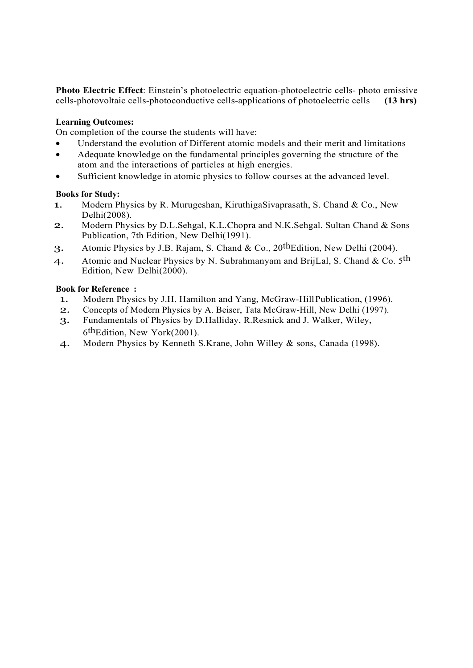**Photo Electric Effect**: Einstein's photoelectric equation-photoelectric cells- photo emissive cells-<br>photovoltaic cells- photoconductive cells- applications of photoelectric cells (13 hrs) cells-photovoltaic cells-photoconductive cells-applications of photoelectric cells **(13 hrs)**

# **Learning Outcomes:**

On completion of the course the students will have:

- Understand the evolution of Different atomic models and their merit and limitations
- Adequate knowledge on the fundamental principles governing the structure of the atom and the interactions of particles at high energies.
- Sufficient knowledge in atomic physics to follow courses at the advanced level.

#### **Books for Study:**

- 1. Modern Physics by R. Murugeshan, KiruthigaSivaprasath, S. Chand & Co., New Delhi(2008).
- 2. Modern Physics by D.L.Sehgal, K.L.Chopra and N.K.Sehgal. Sultan Chand & Sons Publication, 7th Edition, New Delhi(1991).
- 3. Atomic Physics by J.B. Rajam, S. Chand & Co., 20thEdition, New Delhi (2004).
- 4. Atomic and Nuclear Physics by N. Subrahmanyam and BrijLal, S. Chand & Co.  $5<sup>th</sup>$ Edition, New Delhi(2000).

#### **Book for Reference :**

- 1. Modern Physics by J.H. Hamilton and Yang, McGraw-Hill Publication, (1996).
- 2. Concepts of Modern Physics by A. Beiser, Tata McGraw-Hill, New Delhi (1997).
- 3. Fundamentals of Physics by D.Halliday, R.Resnick and J. Walker, Wiley, 6<sup>th</sup>Edition, New York(2001).
- 4. Modern Physics by Kenneth S.Krane, John Willey & sons, Canada (1998).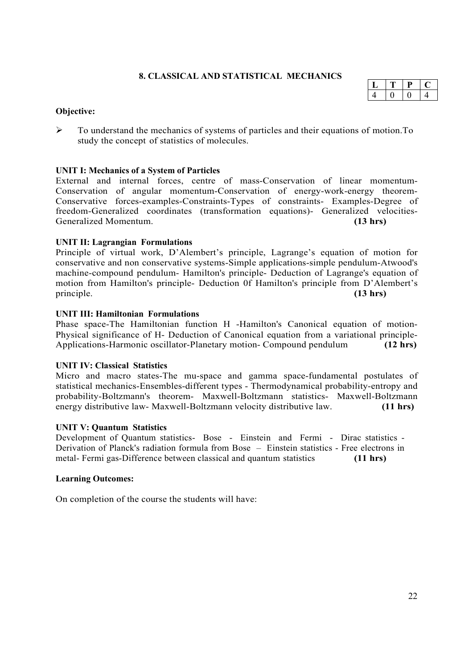# **8. CLASSICAL AND STATISTICAL MECHANICS**

#### **Objective:**

 To understand the mechanics of systems of particles and their equations of motion.To study the concept of statistics of molecules.

#### **UNIT I: Mechanics of a System of Particles**

External and internal forces, centre of mass-Conservation of linear momentum-Conservation of angular momentum-Conservation of energy-work-energy theorem-Conservative forces-examples-Constraints-Types of constraints- Examples-Degree of freedom-Generalized coordinates (transformation equations)- Generalized velocities-Generalized Momentum. **(13 hrs)**

#### **UNIT II: Lagrangian Formulations**

Principle of virtual work, D'Alembert's principle, Lagrange's equation of motion for conservative and non conservative systems-Simple applications-simple pendulum-Atwood's machine-compound pendulum- Hamilton's principle- Deduction of Lagrange's equation of motion from Hamilton's principle- Deduction 0f Hamilton's principle from D'Alembert's principle. **(13 hrs)**

#### **UNIT III: Hamiltonian Formulations**

Phase space-The Hamiltonian function H -Hamilton's Canonical equation of motion-Physical significance of H- Deduction of Canonical equation from a variational principle-Applications-Harmonic oscillator-Planetary motion- Compound pendulum **(12 hrs)**

#### **UNIT IV: Classical Statistics**

Micro and macro states-The mu-space and gamma space-fundamental postulates of statistical mechanics-Ensembles-different types - Thermodynamical probability-entropy and probability-Boltzmann's theorem- Maxwell-Boltzmann statistics- Maxwell-Boltzmann energy distributive law- Maxwell-Boltzmann velocity distributive law. **(11 hrs)**

#### **UNIT V: Quantum Statistics**

Development of Quantum statistics- Bose - Einstein and Fermi - Dirac statistics - Derivation of Planck's radiation formula from Bose – Einstein statistics - Free electrons in metal- Fermi gas-Difference between classical and quantum statistics **(11 hrs)**

#### **Learning Outcomes:**

On completion of the course the students will have:

| ᆦ |  |  |
|---|--|--|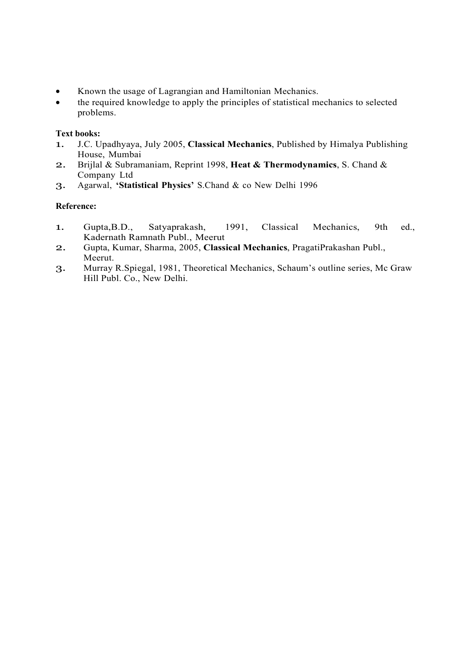- Known the usage of Lagrangian and Hamiltonian Mechanics.
- the required knowledge to apply the principles of statistical mechanics to selected problems.

# **Text books:**

- 1. J.C. Upadhyaya, July 2005, **Classical Mechanics**, Published by Himalya Publishing House, Mumbai
- 2. Brijlal & Subramaniam, Reprint 1998, **Heat & Thermodynamics**, S. Chand & Company Ltd
- 3. Agarwal, **'Statistical Physics'** S.Chand & co New Delhi 1996

#### **Reference:**

- 1. Gupta,B.D., Satyaprakash, 1991, Classical Mechanics, 9th ed., Kadernath Ramnath Publ., Meerut
- 2. Gupta, Kumar, Sharma, 2005, **Classical Mechanics**, PragatiPrakashan Publ., Meerut.
- 3. Murray R.Spiegal, 1981, Theoretical Mechanics, Schaum's outline series, Mc Graw Hill Publ. Co., New Delhi.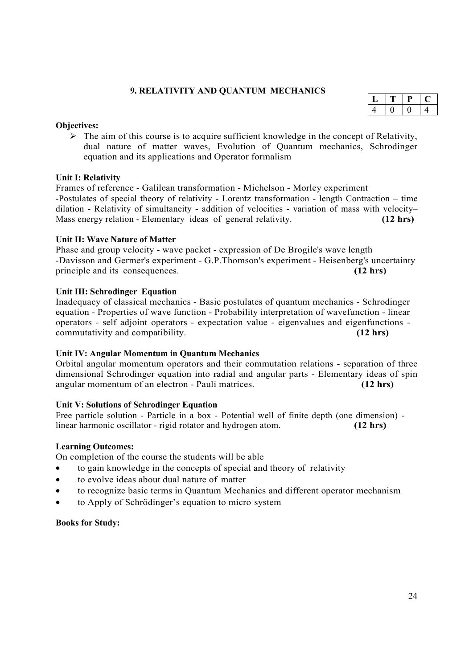# **9. RELATIVITY AND QUANTUM MECHANICS**

|  | L |  |
|--|---|--|
|  |   |  |

#### **Objectives:**

 $\triangleright$  The aim of this course is to acquire sufficient knowledge in the concept of Relativity, dual nature of matter waves, Evolution of Quantum mechanics, Schrodinger equation and its applications and Operator formalism

# **Unit I: Relativity**

Frames of reference - Galilean transformation - Michelson - Morley experiment -Postulates of special theory of relativity - Lorentz transformation - length Contraction – time dilation - Relativity of simultaneity - addition of velocities - variation of mass with velocity– Mass energy relation - Elementary ideas of general relativity. **(12 hrs)**

#### **Unit II: Wave Nature of Matter**

Phase and group velocity - wave packet - expression of De Brogile's wave length -Davisson and Germer's experiment - G.P.Thomson's experiment - Heisenberg's uncertainty principle and its consequences. **(12 hrs)**

#### **Unit III: Schrodinger Equation**

Inadequacy of classical mechanics - Basic postulates of quantum mechanics - Schrodinger equation - Properties of wave function - Probability interpretation of wavefunction - linear operators - self adjoint operators - expectation value - eigenvalues and eigenfunctions commutativity and compatibility. **(12 hrs)**

# **Unit IV: Angular Momentum in Quantum Mechanics**

Orbital angular momentum operators and their commutation relations - separation of three dimensional Schrodinger equation into radial and angular parts - Elementary ideas of spin angular momentum of an electron - Pauli matrices. **(12 hrs)**

#### **Unit V: Solutions of Schrodinger Equation**

Free particle solution - Particle in a box - Potential well of finite depth (one dimension) linear harmonic oscillator - rigid rotator and hydrogen atom. **(12 hrs)**

#### **Learning Outcomes:**

On completion of the course the students will be able

- to gain knowledge in the concepts of special and theory of relativity
- to evolve ideas about dual nature of matter
- to recognize basic terms in Quantum Mechanics and different operator mechanism
- to Apply of Schrödinger's equation to micro system

#### **Books for Study:**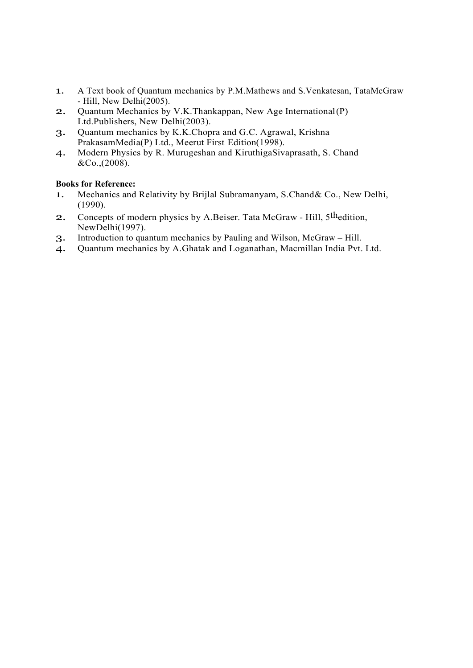- 1. A Text book of Quantum mechanics by P.M.Mathews and S.Venkatesan, TataMcGraw - Hill, New Delhi(2005).
- 2. Quantum Mechanics by V.K.Thankappan, New Age International (P) Ltd.Publishers, New Delhi(2003).
- 3. Quantum mechanics by K.K.Chopra and G.C. Agrawal, Krishna PrakasamMedia(P) Ltd., Meerut First Edition(1998).
- 4. Modern Physics by R. Murugeshan and KiruthigaSivaprasath, S. Chand &Co.,(2008).

# **Books for Reference:**

- 1. Mechanics and Relativity by Brijlal Subramanyam, S.Chand& Co., New Delhi, (1990).
- 2. Concepts of modern physics by A.Beiser. Tata McGraw Hill, 5thedition, NewDelhi(1997).
- 3. Introduction to quantum mechanics by Pauling and Wilson, McGraw Hill.
- 4. Quantum mechanics by A.Ghatak and Loganathan, Macmillan India Pvt. Ltd.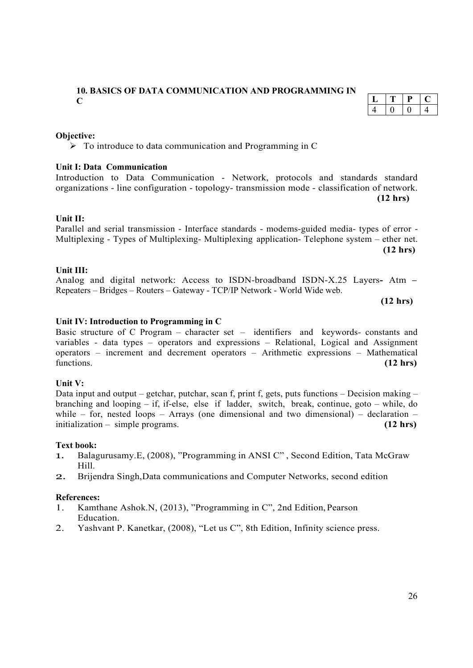# **10. BASICS OF DATA COMMUNICATION AND PROGRAMMING IN C**

#### **Objective:**

 $\triangleright$  To introduce to data communication and Programming in C

#### **Unit I: Data Communication**

# $T$  **P**  $C$  $4 \t 0 \t 0 \t 4$

Introduction to Data Communication - Network, protocols and standards standard organizations - line configuration - topology- transmission mode - classification of network. **(12 hrs)**

#### **Unit II:**

Parallel and serial transmission - Interface standards - modems-guided media- types of error - Multiplexing - Types of Multiplexing- Multiplexing application- Telephone system – ether net. **(12 hrs)**

#### **Unit III:**

Analog and digital network: Access to ISDN-broadband ISDN-X.25 Layers**-** Atm **–**  Repeaters – Bridges – Routers – Gateway - TCP/IP Network - World Wide web.

 **(12 hrs)**

#### **Unit IV: Introduction to Programming in C**

Basic structure of C Program – character set – identifiers and keywords- constants and variables - data types – operators and expressions – Relational, Logical and Assignment operators – increment and decrement operators – Arithmetic expressions – Mathematical functions (12 hrs) functions. **(12 hrs)**

#### **Unit V:**

Data input and output – getchar, putchar, scan f, print f, gets, puts functions – Decision making – branching and looping – if, if-else, else if ladder, switch, break, continue, goto – while, do while – for, nested loops – Arrays (one dimensional and two dimensional) – declaration – initialization – simple programs. **(12 hrs)**

#### **Text book:**

- 1. Balagurusamy.E, (2008), "Programming in ANSI C" , Second Edition, Tata McGraw Hill.
- 2. Brijendra Singh,Data communications and Computer Networks, second edition

#### **References:**

- 1. Kamthane Ashok.N, (2013), "Programming in C", 2nd Edition, Pearson Education.
- 2. Yashvant P. Kanetkar, (2008), "Let us C", 8th Edition, Infinity science press.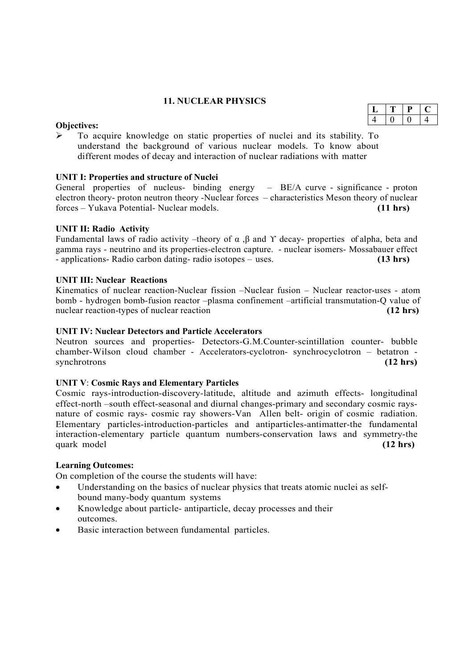# **11. NUCLEAR PHYSICS**

#### **Objectives:**

 To acquire knowledge on static properties of nuclei and its stability. To understand the background of various nuclear models. To know about different modes of decay and interaction of nuclear radiations with matter

#### **UNIT I: Properties and structure of Nuclei**

General properties of nucleus- binding energy – BE/A curve - significance - proton electron theory- proton neutron theory -Nuclear forces – characteristics Meson theory of nuclear forces – Yukava Potential- Nuclear models. **(11 hrs)**

#### **UNIT II: Radio Activity**

Fundamental laws of radio activity –theory of  $\alpha$ ,  $\beta$  and  $\gamma$  decay- properties of alpha, beta and gamma rays - neutrino and its properties-electron capture. - nuclear isomers- Mossabauer effect - applications- Radio carbon dating- radio isotopes – uses. **(13 hrs)**

#### **UNIT III: Nuclear Reactions**

Kinematics of nuclear reaction-Nuclear fission –Nuclear fusion – Nuclear reactor-uses - atom bomb - hydrogen bomb-fusion reactor –plasma confinement –artificial transmutation-Q value of nuclear reaction-types of nuclear reaction **(12 hrs)** (12 hrs)

#### **UNIT IV: Nuclear Detectors and Particle Accelerators**

Neutron sources and properties- Detectors-G.M.Counter-scintillation counter- bubble chamber-Wilson cloud chamber - Accelerators-cyclotron- synchrocyclotron – betatron - synchrotrons (12 hrs) synchrotrons **(12 hrs)**

#### **UNIT V**: **Cosmic Rays and Elementary Particles**

Cosmic rays-introduction-discovery-latitude, altitude and azimuth effects- longitudinal effect-north –south effect-seasonal and diurnal changes-primary and secondary cosmic raysnature of cosmic rays- cosmic ray showers-Van Allen belt- origin of cosmic radiation. Elementary particles-introduction-particles and antiparticles-antimatter-the fundamental interaction-elementary particle quantum numbers-conservation laws and symmetry-the quark model **(12 hrs)** (12 hrs)

#### **Learning Outcomes:**

On completion of the course the students will have:

- Understanding on the basics of nuclear physics that treats atomic nuclei as selfbound many-body quantum systems
- Knowledge about particle- antiparticle, decay processes and their outcomes.
- Basic interaction between fundamental particles.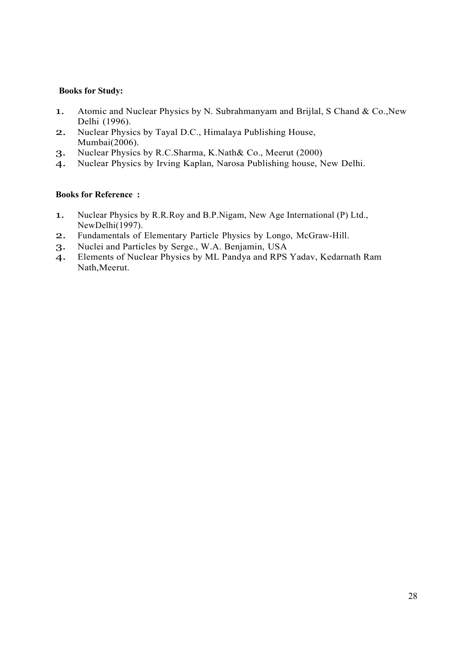# **Books for Study:**

- 1. Atomic and Nuclear Physics by N. Subrahmanyam and Brijlal, S Chand & Co., New Delhi (1996).
- 2. Nuclear Physics by Tayal D.C., Himalaya Publishing House, Mumbai(2006).
- 3. Nuclear Physics by R.C.Sharma, K.Nath& Co., Meerut (2000)
- 4. Nuclear Physics by Irving Kaplan, Narosa Publishing house, New Delhi.

#### **Books for Reference :**

- 1. Nuclear Physics by R.R.Roy and B.P.Nigam, New Age International (P) Ltd., NewDelhi(1997).
- 2. Fundamentals of Elementary Particle Physics by Longo, McGraw-Hill.
- 3. Nuclei and Particles by Serge., W.A. Benjamin, USA
- 4. Elements of Nuclear Physics by ML Pandya and RPS Yadav, Kedarnath Ram Nath,Meerut.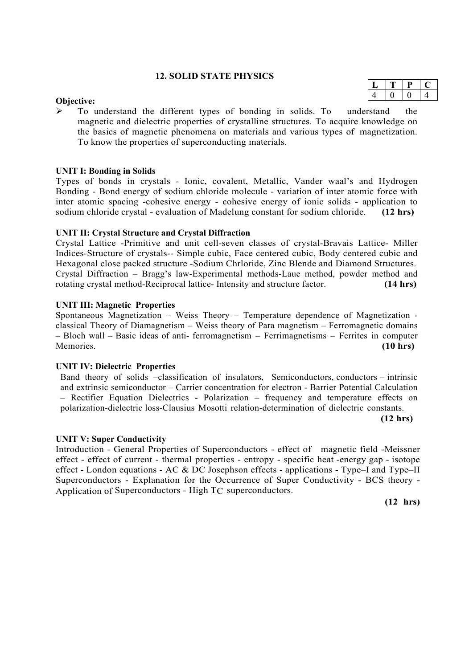#### **12. SOLID STATE PHYSICS**

#### **Objective:**

 To understand the different types of bonding in solids. To understand the magnetic and dielectric properties of crystalline structures. To acquire knowledge on the basics of magnetic phenomena on materials and various types of magnetization. To know the properties of superconducting materials.

#### **UNIT I: Bonding in Solids**

Types of bonds in crystals - Ionic, covalent, Metallic, Vander waal's and Hydrogen Bonding - Bond energy of sodium chloride molecule - variation of inter atomic force with inter atomic spacing -cohesive energy - cohesive energy of ionic solids - application to sodium chloride crystal - evaluation of Madelung constant for sodium chloride. **(12 hrs)**

#### **UNIT II: Crystal Structure and Crystal Diffraction**

Crystal Lattice -Primitive and unit cell-seven classes of crystal-Bravais Lattice- Miller Indices-Structure of crystals-- Simple cubic, Face centered cubic, Body centered cubic and Hexagonal close packed structure -Sodium Chrloride, Zinc Blende and Diamond Structures. Crystal Diffraction – Bragg's law-Experimental methods-Laue method, powder method and rotating crystal method-Reciprocal lattice- Intensity and structure factor. **(14 hrs)**

#### **UNIT III: Magnetic Properties**

Spontaneous Magnetization – Weiss Theory – Temperature dependence of Magnetization classical Theory of Diamagnetism – Weiss theory of Para magnetism – Ferromagnetic domains – Bloch wall – Basic ideas of anti- ferromagnetism – Ferrimagnetisms – Ferrites in computer Memories. **(10 hrs)**

#### **UNIT IV: Dielectric Properties**

Band theory of solids –classification of insulators, Semiconductors, conductors – intrinsic and extrinsic semiconductor – Carrier concentration for electron - Barrier Potential Calculation – Rectifier Equation Dielectrics - Polarization – frequency and temperature effects on polarization-dielectric loss-Clausius Mosotti relation-determination of dielectric constants.

**(12 hrs)**

#### **UNIT V: Super Conductivity**

Introduction - General Properties of Superconductors - effect of magnetic field -Meissner effect - effect of current - thermal properties - entropy - specific heat -energy gap - isotope effect - London equations - AC  $\&$  DC Josephson effects - applications - Type–I and Type–II Superconductors - Explanation for the Occurrence of Super Conductivity - BCS theory - Application of Superconductors - High TC superconductors.

**(12 hrs)**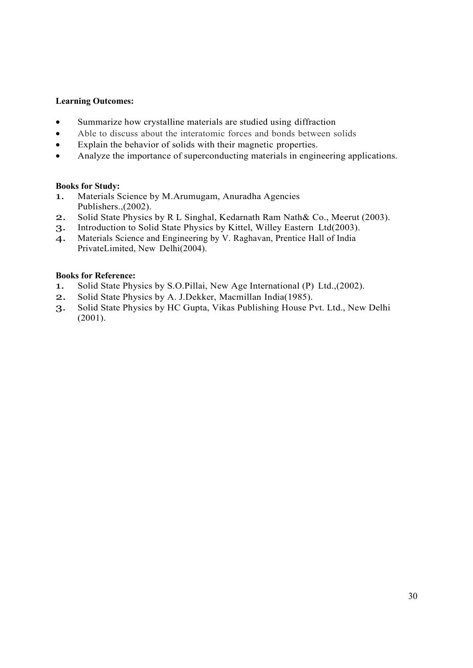#### **Learning Outcomes:**

- Summarize how crystalline materials are studied using diffraction
- Able to discuss about the interatomic forces and bonds between solids
- Explain the behavior of solids with their magnetic properties.
- Analyze the importance of superconducting materials in engineering applications.

#### **Books for Study:**

- 1. Materials Science by M.Arumugam, Anuradha Agencies Publishers.,(2002).
- 2. Solid State Physics by R L Singhal, Kedarnath Ram Nath& Co., Meerut (2003).
- 3. Introduction to Solid State Physics by Kittel, Willey Eastern Ltd(2003).
- 4. Materials Science and Engineering by V. Raghavan, Prentice Hall of India PrivateLimited, New Delhi(2004).

# **Books for Reference:**

- 1. Solid State Physics by S.O.Pillai, New Age International (P) Ltd.,(2002).
- 2. Solid State Physics by A. J.Dekker, Macmillan India(1985).
- 3. Solid State Physics by HC Gupta, Vikas Publishing House Pvt. Ltd., New Delhi  $(2001)$ .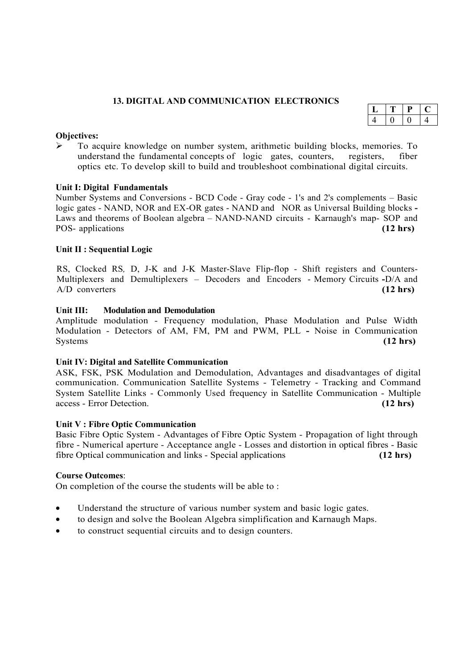# **13. DIGITAL AND COMMUNICATION ELECTRONICS**

| д |  |  |
|---|--|--|

#### **Objectives:**

 $\triangleright$  To acquire knowledge on number system, arithmetic building blocks, memories. To understand the fundamental concepts of logic gates, counters, registers, fiber optics etc. To develop skill to build and troubleshoot combinational digital circuits.

#### **Unit I: Digital Fundamentals**

Number Systems and Conversions - BCD Code - Gray code - 1's and 2's complements – Basic logic gates - NAND, NOR and EX-OR gates - NAND and NOR as Universal Building blocks **-**  Laws and theorems of Boolean algebra – NAND-NAND circuits - Karnaugh's map- SOP and POS- applications **(12 hrs)**

#### **Unit II : Sequential Logic**

RS, Clocked RS*,* D, J-K and J-K Master-Slave Flip-flop - Shift registers and Counters-Multiplexers and Demultiplexers – Decoders and Encoders - Memory Circuits **-**D/A and A/D converters **(12 hrs)**

#### **Unit III: Modulation and Demodulation**

Amplitude modulation - Frequency modulation, Phase Modulation and Pulse Width Modulation - Detectors of AM, FM, PM and PWM, PLL **-** Noise in Communication Systems **(12 hrs)**

#### **Unit IV: Digital and Satellite Communication**

ASK, FSK, PSK Modulation and Demodulation, Advantages and disadvantages of digital communication. Communication Satellite Systems - Telemetry - Tracking and Command System Satellite Links - Commonly Used frequency in Satellite Communication - Multiple access - Error Detection. **(12 hrs)**

#### **Unit V : Fibre Optic Communication**

Basic Fibre Optic System - Advantages of Fibre Optic System - Propagation of light through fibre - Numerical aperture - Acceptance angle - Losses and distortion in optical fibres - Basic fibre Optical communication and links - Special applications **(12 hrs)**

#### **Course Outcomes**:

On completion of the course the students will be able to :

- Understand the structure of various number system and basic logic gates.
- to design and solve the Boolean Algebra simplification and Karnaugh Maps.
- to construct sequential circuits and to design counters.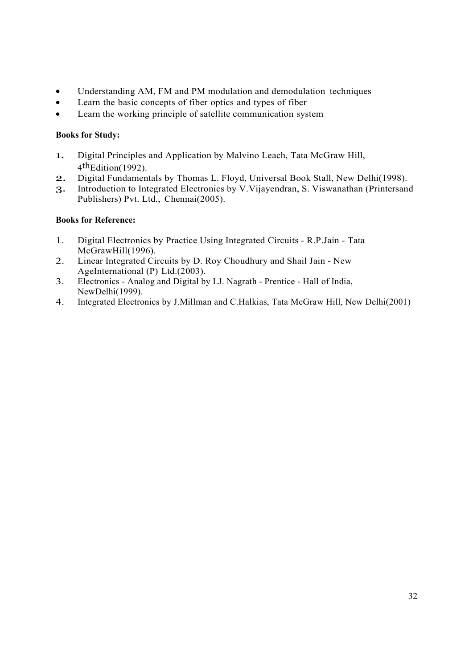- Understanding AM, FM and PM modulation and demodulation techniques
- Learn the basic concepts of fiber optics and types of fiber
- Learn the working principle of satellite communication system

# **Books for Study:**

- 1. Digital Principles and Application by Malvino Leach, Tata McGraw Hill, 4 thEdition(1992).
- 2. Digital Fundamentals by Thomas L. Floyd, Universal Book Stall, New Delhi(1998).
- 3. Introduction to Integrated Electronics by V.Vijayendran, S. Viswanathan (Printersand Publishers) Pvt. Ltd., Chennai(2005).

# **Books for Reference:**

- 1. Digital Electronics by Practice Using Integrated Circuits R.P.Jain Tata McGrawHill(1996).
- 2. Linear Integrated Circuits by D. Roy Choudhury and Shail Jain New AgeInternational (P) Ltd.(2003).
- 3. Electronics Analog and Digital by I.J. Nagrath Prentice Hall of India, NewDelhi(1999).
- 4. Integrated Electronics by J.Millman and C.Halkias, Tata McGraw Hill, New Delhi(2001)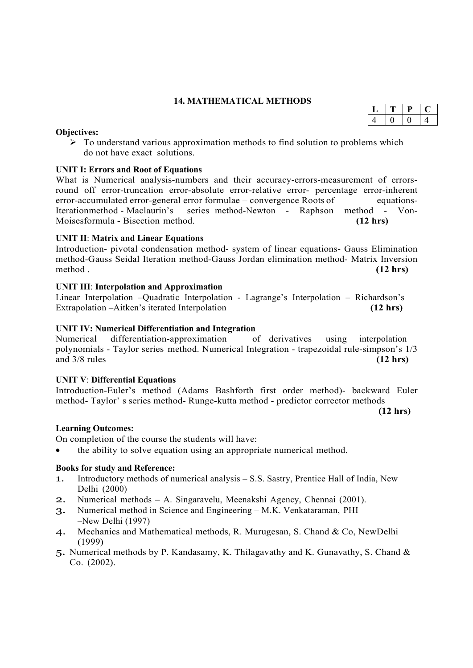# **14. MATHEMATICAL METHODS**

#### **Objectives:**

 $\triangleright$  To understand various approximation methods to find solution to problems which do not have exact solutions.

# **UNIT I: Errors and Root of Equations**

What is Numerical analysis-numbers and their accuracy-errors-measurement of errorsround off error-truncation error-absolute error-relative error- percentage error-inherent error-accumulated error-general error formulae – convergence Roots of equations-Iterationmethod - Maclaurin's series method-Newton - Raphson method - Von-Moisesformula - Bisection method. **(12 hrs)**

#### **UNIT II**: **Matrix and Linear Equations**

Introduction- pivotal condensation method- system of linear equations- Gauss Elimination method-Gauss Seidal Iteration method-Gauss Jordan elimination method- Matrix Inversion method . **(12 hrs)**

#### **UNIT III**: **Interpolation and Approximation**

Linear Interpolation –Quadratic Interpolation - Lagrange's Interpolation – Richardson's Extrapolation –Aitken's iterated Interpolation **(12 hrs)**

#### **UNIT IV: Numerical Differentiation and Integration**

Numerical differentiation-approximation of derivatives using interpolation polynomials - Taylor series method. Numerical Integration - trapezoidal rule-simpson's 1/3 and 3/8 rules **(12 hrs)**

#### **UNIT V**: **Differential Equations**

Introduction-Euler's method (Adams Bashforth first order method)- backward Euler method- Taylor' s series method- Runge-kutta method - predictor corrector methods

**(12 hrs)**

#### **Learning Outcomes:**

On completion of the course the students will have:

the ability to solve equation using an appropriate numerical method.

#### **Books for study and Reference:**

- 1. Introductory methods of numerical analysis S.S. Sastry, Prentice Hall of India, New Delhi (2000)
- 2. Numerical methods A. Singaravelu, Meenakshi Agency, Chennai (2001).
- 3. Numerical method in Science and Engineering M.K. Venkataraman, PHI –New Delhi (1997)
- 4. Mechanics and Mathematical methods, R. Murugesan, S. Chand & Co, NewDelhi (1999)
- 5. Numerical methods by P. Kandasamy, K. Thilagavathy and K. Gunavathy, S. Chand & Co. (2002).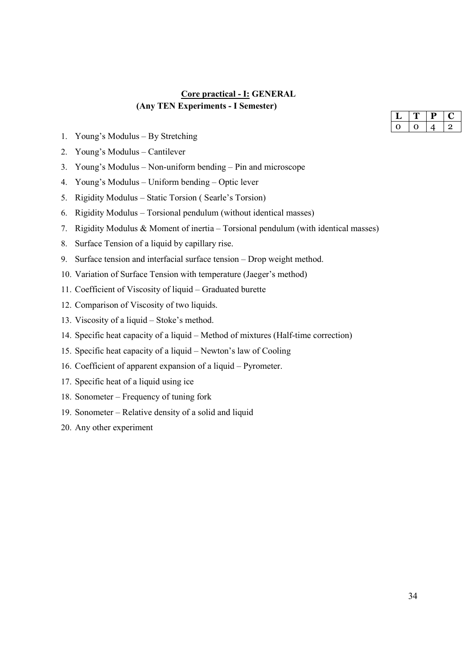# **Core practical - I: GENERAL (Any TEN Experiments - I Semester)**

- 1. Young's Modulus By Stretching
- 2. Young's Modulus Cantilever
- 3. Young's Modulus Non-uniform bending Pin and microscope
- 4. Young's Modulus Uniform bending Optic lever
- 5. Rigidity Modulus Static Torsion ( Searle's Torsion)
- 6. Rigidity Modulus Torsional pendulum (without identical masses)
- 7. Rigidity Modulus & Moment of inertia Torsional pendulum (with identical masses)
- 8. Surface Tension of a liquid by capillary rise.
- 9. Surface tension and interfacial surface tension Drop weight method.
- 10. Variation of Surface Tension with temperature (Jaeger's method)
- 11. Coefficient of Viscosity of liquid Graduated burette
- 12. Comparison of Viscosity of two liquids.
- 13. Viscosity of a liquid Stoke's method.
- 14. Specific heat capacity of a liquid Method of mixtures (Half-time correction)
- 15. Specific heat capacity of a liquid Newton's law of Cooling
- 16. Coefficient of apparent expansion of a liquid Pyrometer.
- 17. Specific heat of a liquid using ice
- 18. Sonometer Frequency of tuning fork
- 19. Sonometer Relative density of a solid and liquid
- 20. Any other experiment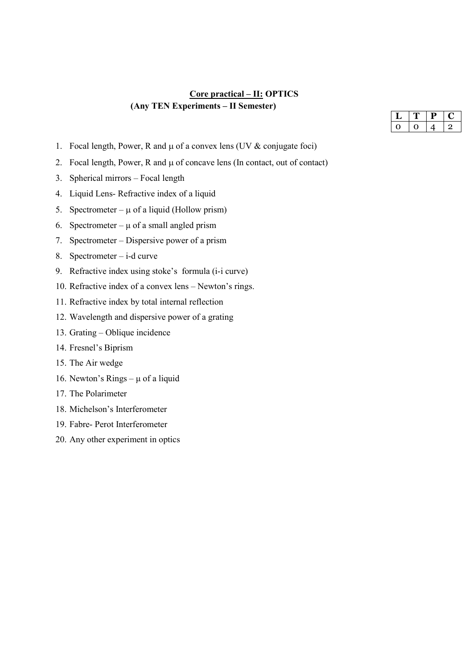# **Core practical – II: OPTICS (Any TEN Experiments – II Semester)**

- 1. Focal length, Power, R and  $\mu$  of a convex lens (UV & conjugate foci)
- 2. Focal length, Power,  $R$  and  $\mu$  of concave lens (In contact, out of contact)
- 3. Spherical mirrors Focal length
- 4. Liquid Lens- Refractive index of a liquid
- 5. Spectrometer  $\mu$  of a liquid (Hollow prism)
- 6. Spectrometer  $\mu$  of a small angled prism
- 7. Spectrometer Dispersive power of a prism
- 8. Spectrometer i-d curve
- 9. Refractive index using stoke's formula (i-i curve)
- 10. Refractive index of a convex lens Newton's rings.
- 11. Refractive index by total internal reflection
- 12. Wavelength and dispersive power of a grating
- 13. Grating Oblique incidence
- 14. Fresnel's Biprism
- 15. The Air wedge
- 16. Newton's Rings  $\mu$  of a liquid
- 17. The Polarimeter
- 18. Michelson's Interferometer
- 19. Fabre- Perot Interferometer
- 20. Any other experiment in optics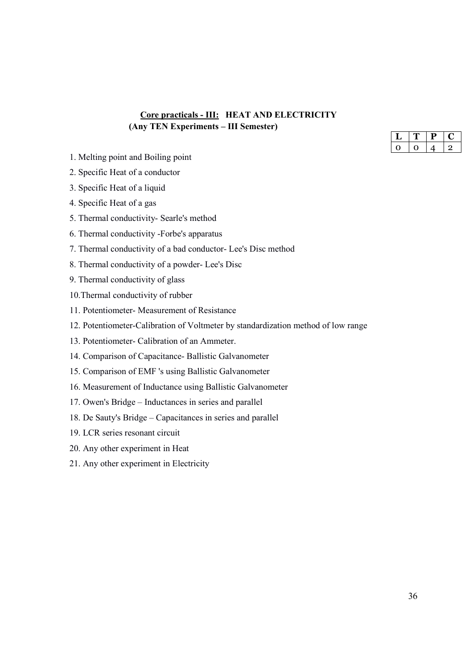# **Core practicals - III: HEAT AND ELECTRICITY (Any TEN Experiments – III Semester)**

- 1. Melting point and Boiling point
- 2. Specific Heat of a conductor
- 3. Specific Heat of a liquid
- 4. Specific Heat of a gas
- 5. Thermal conductivity- Searle's method
- 6. Thermal conductivity -Forbe's apparatus
- 7. Thermal conductivity of a bad conductor- Lee's Disc method
- 8. Thermal conductivity of a powder- Lee's Disc
- 9. Thermal conductivity of glass
- 10.Thermal conductivity of rubber
- 11. Potentiometer- Measurement of Resistance
- 12. Potentiometer-Calibration of Voltmeter by standardization method of low range
- 13. Potentiometer- Calibration of an Ammeter.
- 14. Comparison of Capacitance- Ballistic Galvanometer
- 15. Comparison of EMF 's using Ballistic Galvanometer
- 16. Measurement of Inductance using Ballistic Galvanometer
- 17. Owen's Bridge Inductances in series and parallel
- 18. De Sauty's Bridge Capacitances in series and parallel
- 19. LCR series resonant circuit
- 20. Any other experiment in Heat
- 21. Any other experiment in Electricity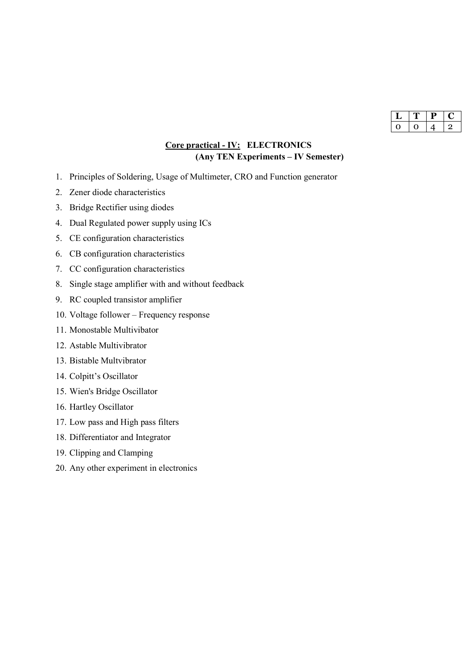| г |  |
|---|--|
|   |  |

# **Core practical - IV: ELECTRONICS (Any TEN Experiments – IV Semester)**

- 1. Principles of Soldering, Usage of Multimeter, CRO and Function generator
- 2. Zener diode characteristics
- 3. Bridge Rectifier using diodes
- 4. Dual Regulated power supply using ICs
- 5. CE configuration characteristics
- 6. CB configuration characteristics
- 7. CC configuration characteristics
- 8. Single stage amplifier with and without feedback
- 9. RC coupled transistor amplifier
- 10. Voltage follower Frequency response
- 11. Monostable Multivibator
- 12. Astable Multivibrator
- 13. Bistable Multvibrator
- 14. Colpitt's Oscillator
- 15. Wien's Bridge Oscillator
- 16. Hartley Oscillator
- 17. Low pass and High pass filters
- 18. Differentiator and Integrator
- 19. Clipping and Clamping
- 20. Any other experiment in electronics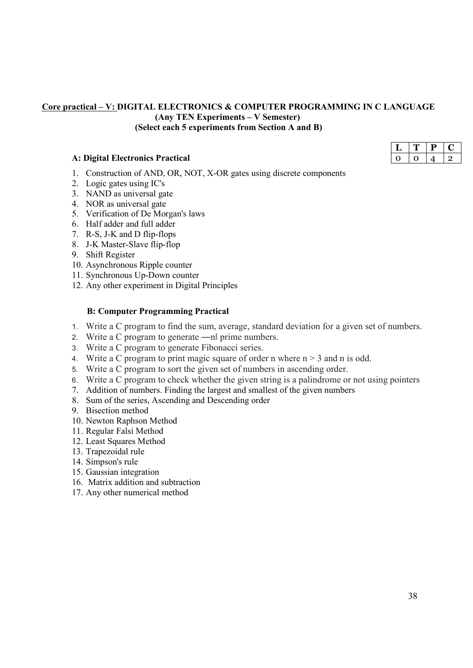# **Core practical – V: DIGITAL ELECTRONICS & COMPUTER PROGRAMMING IN C LANGUAGE (Any TEN Experiments – V Semester) (Select each 5 experiments from Section A and B)**

#### **A: Digital Electronics Practical**

- 1. Construction of AND, OR, NOT, X-OR gates using discrete components
- 2. Logic gates using IC's
- 3. NAND as universal gate
- 4. NOR as universal gate
- 5. Verification of De Morgan's laws
- 6. Half adder and full adder
- 7. R-S, J-K and D flip-flops
- 8. J-K Master-Slave flip-flop
- 9. Shift Register
- 10. Asynchronous Ripple counter
- 11. Synchronous Up-Down counter
- 12. Any other experiment in Digital Principles

#### **B: Computer Programming Practical**

- 1. Write a C program to find the sum, average, standard deviation for a given set of numbers.
- 2. Write a C program to generate —nl prime numbers.
- 3. Write a C program to generate Fibonacci series.
- 4. Write a C program to print magic square of order n where  $n > 3$  and n is odd.
- 5. Write a C program to sort the given set of numbers in ascending order.
- 6. Write a C program to check whether the given string is a palindrome or not using pointers
- 7. Addition of numbers. Finding the largest and smallest of the given numbers
- 8. Sum of the series, Ascending and Descending order
- 9. Bisection method
- 10. Newton Raphson Method
- 11. Regular Falsi Method
- 12. Least Squares Method
- 13. Trapezoidal rule
- 14. Simpson's rule
- 15. Gaussian integration
- 16. Matrix addition and subtraction
- 17. Any other numerical method

38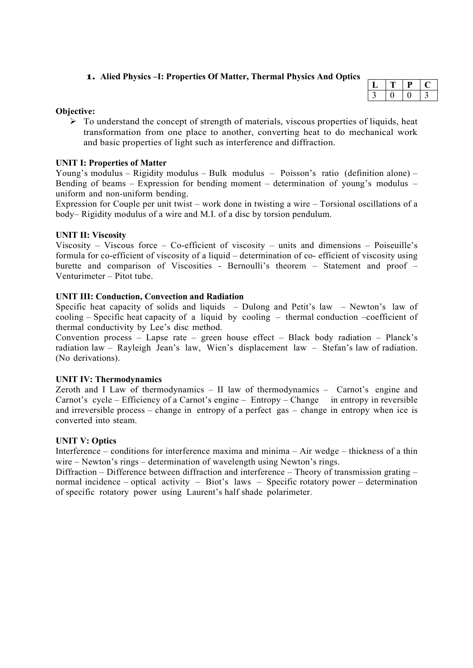# **1. Alied Physics –I: Properties Of Matter, Thermal Physics And Optics**

|  | u |  |
|--|---|--|
|  |   |  |

#### **Objective:**

 $\triangleright$  To understand the concept of strength of materials, viscous properties of liquids, heat transformation from one place to another, converting heat to do mechanical work and basic properties of light such as interference and diffraction.

#### **UNIT I: Properties of Matter**

Young's modulus – Rigidity modulus – Bulk modulus – Poisson's ratio (definition alone) – Bending of beams – Expression for bending moment – determination of young's modulus – uniform and non-uniform bending.

Expression for Couple per unit twist – work done in twisting a wire – Torsional oscillations of a body– Rigidity modulus of a wire and M.I. of a disc by torsion pendulum.

#### **UNIT II: Viscosity**

Viscosity – Viscous force – Co-efficient of viscosity – units and dimensions – Poiseuille's formula for co-efficient of viscosity of a liquid – determination of co- efficient of viscosity using burette and comparison of Viscosities - Bernoulli's theorem – Statement and proof – Venturimeter – Pitot tube.

#### **UNIT III: Conduction, Convection and Radiation**

Specific heat capacity of solids and liquids – Dulong and Petit's law – Newton's law of cooling – Specific heat capacity of a liquid by cooling – thermal conduction –coefficient of thermal conductivity by Lee's disc method.

Convention process – Lapse rate – green house effect – Black body radiation – Planck's radiation law – Rayleigh Jean's law, Wien's displacement law – Stefan's law of radiation. (No derivations).

#### **UNIT IV: Thermodynamics**

Zeroth and I Law of thermodynamics – II law of thermodynamics – Carnot's engine and Carnot's cycle – Efficiency of a Carnot's engine – Entropy – Change in entropy in reversible and irreversible process – change in entropy of a perfect gas – change in entropy when ice is converted into steam.

#### **UNIT V: Optics**

Interference – conditions for interference maxima and minima – Air wedge – thickness of a thin wire – Newton's rings – determination of wavelength using Newton's rings.

Diffraction – Difference between diffraction and interference – Theory of transmission grating – normal incidence – optical activity – Biot's laws – Specific rotatory power – determination of specific rotatory power using Laurent's half shade polarimeter.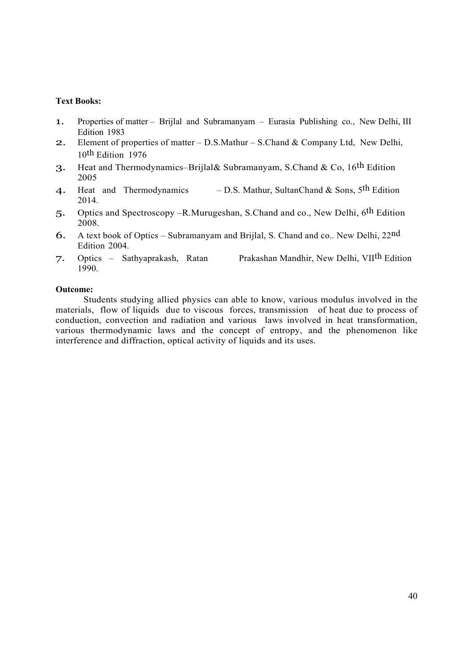#### **Text Books:**

- 1. Properties of matter Brijlal and Subramanyam Eurasia Publishing co., New Delhi, III Edition 1983
- 2. Element of properties of matter D.S.Mathur S.Chand & Company Ltd, New Delhi, 10th Edition 1976
- 3. Heat and Thermodynamics-Brijlal& Subramanyam, S.Chand & Co, 16<sup>th</sup> Edition 2005
- 4. Heat and Thermodynamics D.S. Mathur, SultanChand & Sons,  $5<sup>th</sup>$  Edition 2014.
- 5. Optics and Spectroscopy –R.Murugeshan, S.Chand and co., New Delhi, 6th Edition 2008.
- 6. A text book of Optics Subramanyam and Brijlal, S. Chand and co.. New Delhi, 22nd Edition 2004.
- 7. Optics Sathyaprakash, Ratan Prakashan Mandhir, New Delhi, VIIth Edition 1990.

#### **Outcome:**

Students studying allied physics can able to know, various modulus involved in the materials, flow of liquids due to viscous forces, transmission of heat due to process of conduction, convection and radiation and various laws involved in heat transformation, various thermodynamic laws and the concept of entropy, and the phenomenon like interference and diffraction, optical activity of liquids and its uses.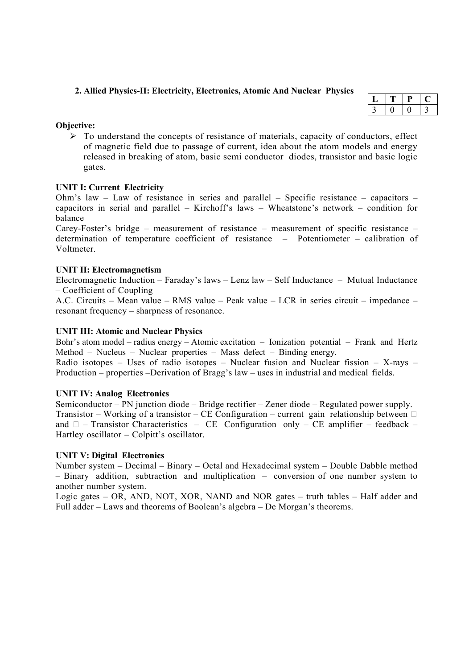#### **2. Allied Physics-II: Electricity, Electronics, Atomic And Nuclear Physics**

#### **Objective:**

 $\triangleright$  To understand the concepts of resistance of materials, capacity of conductors, effect of magnetic field due to passage of current, idea about the atom models and energy released in breaking of atom, basic semi conductor diodes, transistor and basic logic gates.

# **UNIT I: Current Electricity**

Ohm's law – Law of resistance in series and parallel – Specific resistance – capacitors – capacitors in serial and parallel – Kirchoff's laws – Wheatstone's network – condition for balance

Carey-Foster's bridge – measurement of resistance – measurement of specific resistance – determination of temperature coefficient of resistance – Potentiometer – calibration of Voltmeter.

#### **UNIT II: Electromagnetism**

Electromagnetic Induction – Faraday's laws – Lenz law – Self Inductance – Mutual Inductance – Coefficient of Coupling

A.C. Circuits – Mean value – RMS value – Peak value – LCR in series circuit – impedance – resonant frequency – sharpness of resonance.

#### **UNIT III: Atomic and Nuclear Physics**

Bohr's atom model – radius energy – Atomic excitation – Ionization potential – Frank and Hertz Method – Nucleus – Nuclear properties – Mass defect – Binding energy.

Radio isotopes – Uses of radio isotopes – Nuclear fusion and Nuclear fission – X-rays – Production – properties –Derivation of Bragg's law – uses in industrial and medical fields.

#### **UNIT IV: Analog Electronics**

Semiconductor – PN junction diode – Bridge rectifier – Zener diode – Regulated power supply. Transistor – Working of a transistor – CE Configuration – current gain relationship between  $\Box$ and  $\Box$  – Transistor Characteristics – CE Configuration only – CE amplifier – feedback – Hartley oscillator – Colpitt's oscillator.

#### **UNIT V: Digital Electronics**

Number system – Decimal – Binary – Octal and Hexadecimal system – Double Dabble method – Binary addition, subtraction and multiplication – conversion of one number system to another number system.

Logic gates – OR, AND, NOT, XOR, NAND and NOR gates – truth tables – Half adder and Full adder – Laws and theorems of Boolean's algebra – De Morgan's theorems.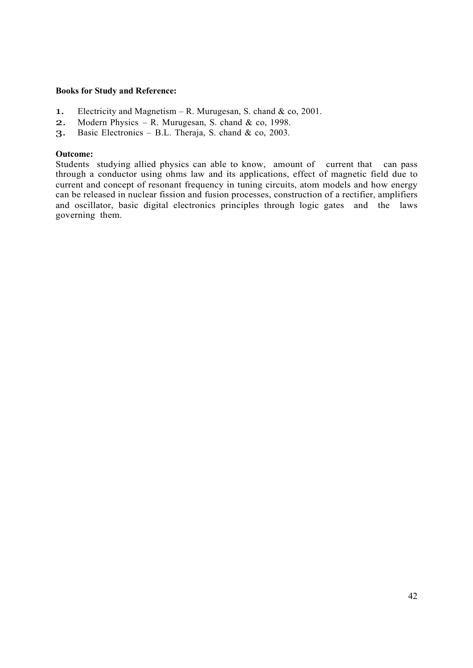#### **Books for Study and Reference:**

- 1. Electricity and Magnetism R. Murugesan, S. chand & co, 2001.
- 2. Modern Physics R. Murugesan, S. chand & co, 1998.
- 3. Basic Electronics B.L. Theraja, S. chand & co, 2003.

#### **Outcome:**

Students studying allied physics can able to know, amount of current that can pass through a conductor using ohms law and its applications, effect of magnetic field due to current and concept of resonant frequency in tuning circuits, atom models and how energy can be released in nuclear fission and fusion processes, construction of a rectifier, amplifiers and oscillator, basic digital electronics principles through logic gates and the laws governing them.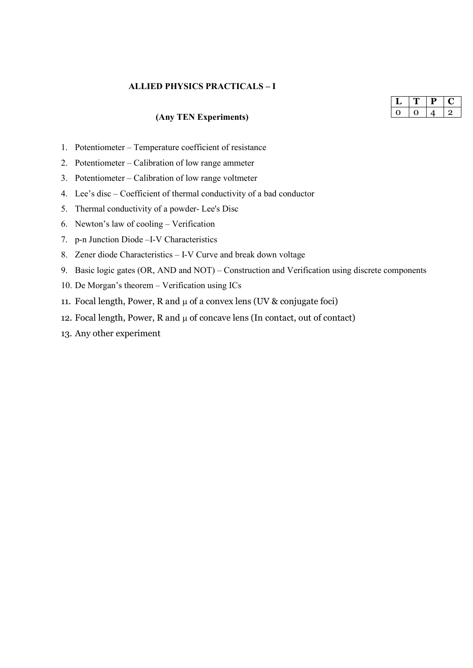# **ALLIED PHYSICS PRACTICALS – I**

# **(Any TEN Experiments)**

- 1. Potentiometer Temperature coefficient of resistance
- 2. Potentiometer Calibration of low range ammeter
- 3. Potentiometer Calibration of low range voltmeter
- 4. Lee's disc Coefficient of thermal conductivity of a bad conductor
- 5. Thermal conductivity of a powder- Lee's Disc
- 6. Newton's law of cooling Verification
- 7. p-n Junction Diode –I-V Characteristics
- 8. Zener diode Characteristics I-V Curve and break down voltage
- 9. Basic logic gates (OR, AND and NOT) Construction and Verification using discrete components
- 10. De Morgan's theorem Verification using ICs
- 11. Focal length, Power, R and  $\mu$  of a convex lens (UV & conjugate foci)
- 12. Focal length, Power,  $R$  and  $\mu$  of concave lens (In contact, out of contact)
- 13. Any other experiment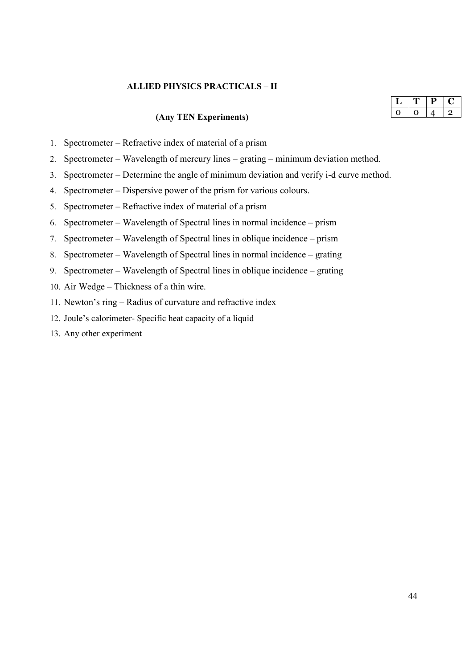#### **ALLIED PHYSICS PRACTICALS – II**

# **(Any TEN Experiments)**

|  | ۱ |  |
|--|---|--|
|  |   |  |

- 1. Spectrometer Refractive index of material of a prism
- 2. Spectrometer Wavelength of mercury lines grating minimum deviation method.
- 3. Spectrometer Determine the angle of minimum deviation and verify i-d curve method.
- 4. Spectrometer Dispersive power of the prism for various colours.
- 5. Spectrometer Refractive index of material of a prism
- 6. Spectrometer Wavelength of Spectral lines in normal incidence prism
- 7. Spectrometer Wavelength of Spectral lines in oblique incidence prism
- 8. Spectrometer Wavelength of Spectral lines in normal incidence grating
- 9. Spectrometer Wavelength of Spectral lines in oblique incidence grating
- 10. Air Wedge Thickness of a thin wire.
- 11. Newton's ring Radius of curvature and refractive index
- 12. Joule's calorimeter- Specific heat capacity of a liquid
- 13. Any other experiment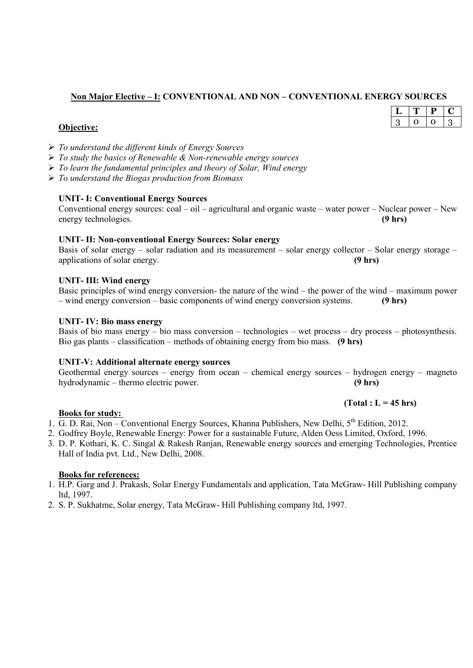# **Non Major Elective – I: CONVENTIONAL AND NON – CONVENTIONAL ENERGY SOURCES**

| <b>Obiective:</b> |
|-------------------|
|-------------------|

- *To understand the different kinds of Energy Sources*
- *To study the basics of Renewable & Non-renewable energy sources*
- *To learn the fundamental principles and theory of Solar, Wind energy*
- *To understand the Biogas production from Biomass*

#### **UNIT- I: Conventional Energy Sources**

Conventional energy sources: coal – oil – agricultural and organic waste – water power – Nuclear power – New energy technologies. **(9 hrs)**

#### **UNIT- II: Non-conventional Energy Sources: Solar energy**

Basis of solar energy – solar radiation and its measurement – solar energy collector – Solar energy storage – applications of solar energy. **(9 hrs)** 

#### **UNIT- III: Wind energy**

| Basic principles of wind energy conversion- the nature of the wind – the power of the wind – maximum power |  |                   |
|------------------------------------------------------------------------------------------------------------|--|-------------------|
| - wind energy conversion - basic components of wind energy conversion systems.                             |  | $(9 \text{ hrs})$ |

#### **UNIT- IV: Bio mass energy**

Basis of bio mass energy – bio mass conversion – technologies – wet process – dry process – photosynthesis. Bio gas plants – classification – methods of obtaining energy from bio mass. **(9 hrs)** 

#### **UNIT-V: Additional alternate energy sources**

Geothermal energy sources – energy from ocean – chemical energy sources – hydrogen energy – magneto hydrodynamic – thermo electric power. **(9 hrs)**

# **Books for study:**

- 1. G. D. Rai, Non Conventional Energy Sources, Khanna Publishers, New Delhi, 5<sup>th</sup> Edition, 2012.
- 2. Godfrey Boyle, Renewable Energy: Power for a sustainable Future, Alden Oess Limited, Oxford, 1996.
- 3. D. P. Kothari, K. C. Singal & Rakesh Ranjan, Renewable energy sources and emerging Technologies, Prentice Hall of India pvt. Ltd., New Delhi, 2008.

#### **Books for references:**

- 1. H.P. Garg and J. Prakash, Solar Energy Fundamentals and application, Tata McGraw- Hill Publishing company ltd, 1997.
- 2. S. P. Sukhatme, Solar energy, Tata McGraw- Hill Publishing company ltd, 1997.

|    | υ. |  |
|----|----|--|
| ٠, |    |  |
|    |    |  |

# **(Total : L = 45 hrs)**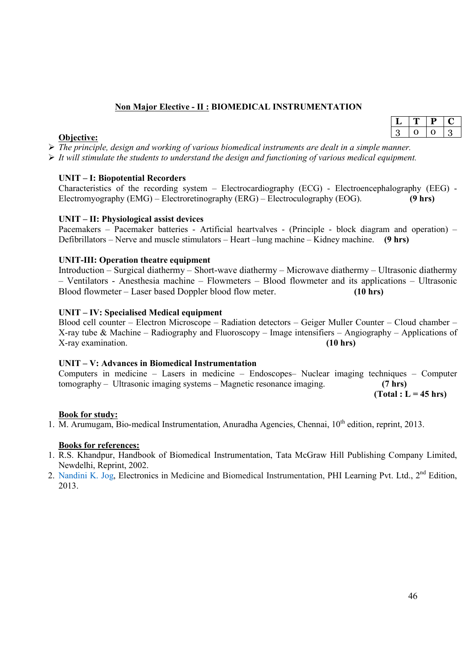# **Non Major Elective - II : BIOMEDICAL INSTRUMENTATION**

#### **Objective:**

 *The principle, design and working of various biomedical instruments are dealt in a simple manner. It will stimulate the students to understand the design and functioning of various medical equipment.*

# **UNIT – I: Biopotential Recorders**

Characteristics of the recording system – Electrocardiography (ECG) - Electroencephalography (EEG) - Electromyography (EMG) – Electroretinography (ERG) – Electroculography (EOG). **(9 hrs)**

#### **UNIT – II: Physiological assist devices**

Pacemakers – Pacemaker batteries - Artificial heartvalves - (Principle - block diagram and operation) – Defibrillators – Nerve and muscle stimulators – Heart –lung machine – Kidney machine. **(9 hrs)**

#### **UNIT-III: Operation theatre equipment**

Introduction – Surgical diathermy – Short-wave diathermy – Microwave diathermy – Ultrasonic diathermy – Ventilators - Anesthesia machine – Flowmeters – Blood flowmeter and its applications – Ultrasonic Blood flowmeter – Laser based Doppler blood flow meter. **(10 hrs)**

#### **UNIT – IV: Specialised Medical equipment**

Blood cell counter – Electron Microscope – Radiation detectors – Geiger Muller Counter – Cloud chamber – X-ray tube & Machine – Radiography and Fluoroscopy – Image intensifiers – Angiography – Applications of X-ray examination. **(10 hrs)**

## **UNIT – V: Advances in Biomedical Instrumentation**

Computers in medicine – Lasers in medicine – Endoscopes– Nuclear imaging techniques – Computer tomography – Ultrasonic imaging systems – Magnetic resonance imaging. **(7 hrs)**

 **(Total : L = 45 hrs)**

#### **Book for study:**

1. M. Arumugam, Bio-medical Instrumentation, Anuradha Agencies, Chennai,  $10^{th}$  edition, reprint, 2013.

#### **Books for references:**

- 1. R.S. Khandpur, Handbook of Biomedical Instrumentation, Tata McGraw Hill Publishing Company Limited, Newdelhi, Reprint, 2002.
- 2. Nandini K. Jog, Electronics in Medicine and Biomedical Instrumentation, PHI Learning Pvt. Ltd., 2<sup>nd</sup> Edition, 2013.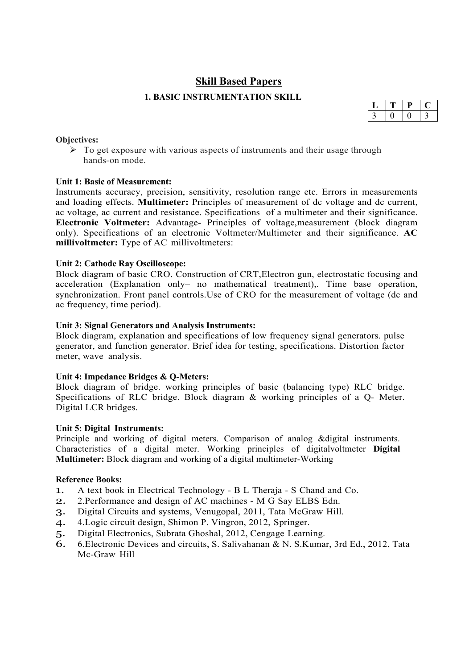# **Skill Based Papers**

# **1. BASIC INSTRUMENTATION SKILL**

#### **Objectives:**

 $\triangleright$  To get exposure with various aspects of instruments and their usage through hands-on mode.

# **Unit 1: Basic of Measurement:**

Instruments accuracy, precision, sensitivity, resolution range etc. Errors in measurements and loading effects. **Multimeter:** Principles of measurement of dc voltage and dc current, ac voltage, ac current and resistance. Specifications of a multimeter and their significance. **Electronic Voltmeter:** Advantage- Principles of voltage,measurement (block diagram only). Specifications of an electronic Voltmeter/Multimeter and their significance. **AC millivoltmeter:** Type of AC millivoltmeters:

#### **Unit 2: Cathode Ray Oscilloscope:**

Block diagram of basic CRO. Construction of CRT,Electron gun, electrostatic focusing and acceleration (Explanation only– no mathematical treatment),. Time base operation, synchronization. Front panel controls.Use of CRO for the measurement of voltage (dc and ac frequency, time period).

#### **Unit 3: Signal Generators and Analysis Instruments:**

Block diagram, explanation and specifications of low frequency signal generators. pulse generator, and function generator. Brief idea for testing, specifications. Distortion factor meter, wave analysis.

#### **Unit 4: Impedance Bridges & Q-Meters:**

Block diagram of bridge. working principles of basic (balancing type) RLC bridge. Specifications of RLC bridge. Block diagram & working principles of a Q- Meter. Digital LCR bridges.

#### **Unit 5: Digital Instruments:**

Principle and working of digital meters. Comparison of analog &digital instruments. Characteristics of a digital meter. Working principles of digitalvoltmeter **Digital Multimeter:** Block diagram and working of a digital multimeter-Working

#### **Reference Books:**

- 1. A text book in Electrical Technology B L Theraja S Chand and Co.
- 2. 2.Performance and design of AC machines M G Say ELBS Edn.
- 3. Digital Circuits and systems, Venugopal, 2011, Tata McGraw Hill.
- 4. 4.Logic circuit design, Shimon P. Vingron, 2012, Springer.
- 5. Digital Electronics, Subrata Ghoshal, 2012, Cengage Learning.
- 6. 6.Electronic Devices and circuits, S. Salivahanan & N. S.Kumar, 3rd Ed., 2012, Tata Mc-Graw Hill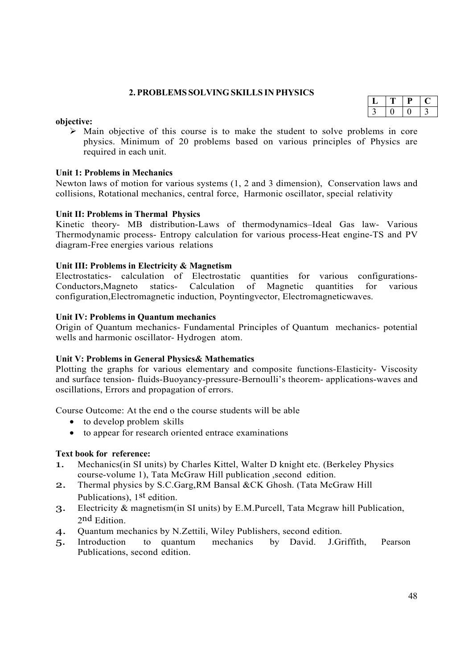# **2. PROBLEMS SOLVING SKILLS IN PHYSICS**

# $L | T | P | C$  $3 | 0 | 0 | 3$

#### **objective:**

 $\triangleright$  Main objective of this course is to make the student to solve problems in core physics. Minimum of 20 problems based on various principles of Physics are required in each unit.

#### **Unit 1: Problems in Mechanics**

Newton laws of motion for various systems (1, 2 and 3 dimension), Conservation laws and collisions, Rotational mechanics, central force, Harmonic oscillator, special relativity

#### **Unit II: Problems in Thermal Physics**

Kinetic theory- MB distribution-Laws of thermodynamics–Ideal Gas law- Various Thermodynamic process- Entropy calculation for various process-Heat engine-TS and PV diagram-Free energies various relations

#### **Unit III: Problems in Electricity & Magnetism**

Electrostatics- calculation of Electrostatic quantities for various configurations-Conductors,Magneto statics- Calculation of Magnetic quantities for various configuration,Electromagnetic induction, Poyntingvector, Electromagneticwaves.

#### **Unit IV: Problems in Quantum mechanics**

Origin of Quantum mechanics- Fundamental Principles of Quantum mechanics- potential wells and harmonic oscillator- Hydrogen atom.

#### **Unit V: Problems in General Physics& Mathematics**

Plotting the graphs for various elementary and composite functions-Elasticity- Viscosity and surface tension- fluids-Buoyancy-pressure-Bernoulli's theorem- applications-waves and oscillations, Errors and propagation of errors.

Course Outcome: At the end o the course students will be able

- to develop problem skills
- to appear for research oriented entrace examinations

#### **Text book for reference:**

- 1. Mechanics(in SI units) by Charles Kittel, Walter D knight etc. (Berkeley Physics course-volume 1), Tata McGraw Hill publication ,second edition.
- 2. Thermal physics by S.C.Garg, RM Bansal &CK Ghosh. (Tata McGraw Hill Publications), 1st edition.
- 3. Electricity & magnetism(in SI units) by E.M.Purcell, Tata Mcgraw hill Publication, 2 nd Edition.
- 4. Quantum mechanics by N.Zettili, Wiley Publishers, second edition.
- 5. Introduction to quantum mechanics by David. J.Griffith, Pearson Publications, second edition.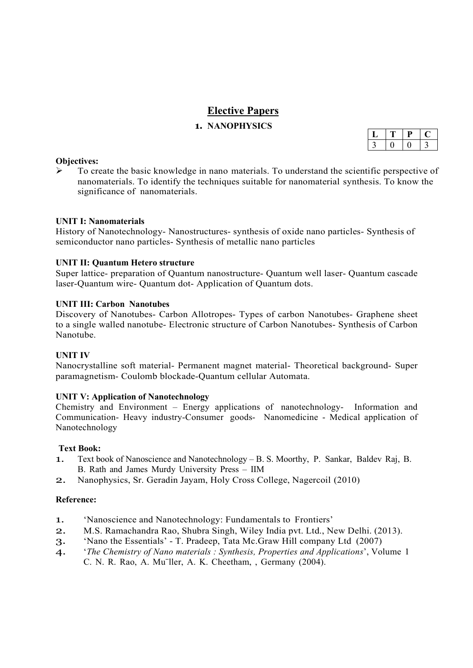# **Elective Papers**

# **1. NANOPHYSICS**

#### **Objectives:**

 $\triangleright$  To create the basic knowledge in nano materials. To understand the scientific perspective of nanomaterials. To identify the techniques suitable for nanomaterial synthesis. To know the significance of nanomaterials.

#### **UNIT I: Nanomaterials**

History of Nanotechnology- Nanostructures- synthesis of oxide nano particles- Synthesis of semiconductor nano particles- Synthesis of metallic nano particles

#### **UNIT II: Quantum Hetero structure**

Super lattice- preparation of Quantum nanostructure- Quantum well laser- Quantum cascade laser-Quantum wire- Quantum dot- Application of Quantum dots.

#### **UNIT III: Carbon Nanotubes**

Discovery of Nanotubes- Carbon Allotropes- Types of carbon Nanotubes- Graphene sheet to a single walled nanotube- Electronic structure of Carbon Nanotubes- Synthesis of Carbon Nanotube.

#### **UNIT IV**

Nanocrystalline soft material- Permanent magnet material- Theoretical background- Super paramagnetism- Coulomb blockade-Quantum cellular Automata.

#### **UNIT V: Application of Nanotechnology**

Chemistry and Environment – Energy applications of nanotechnology- Information and Communication- Heavy industry-Consumer goods- Nanomedicine - Medical application of Nanotechnology

#### **Text Book:**

- 1. Text book of Nanoscience and Nanotechnology B. S. Moorthy, P. Sankar, Baldev Raj, B. B. Rath and James Murdy University Press – IIM
- 2. Nanophysics, Sr. Geradin Jayam, Holy Cross College, Nagercoil (2010)

#### **Reference:**

- 1. 'Nanoscience and Nanotechnology: Fundamentals to Frontiers'
- 2. M.S. Ramachandra Rao, Shubra Singh, Wiley India pvt. Ltd., New Delhi. (2013).
- 3. 'Nano the Essentials' T. Pradeep, Tata Mc.Graw Hill company Ltd (2007)
- 4. '*The Chemistry of Nano materials : Synthesis, Properties and Applications*', Volume 1 C. N. R. Rao, A. Mu¨ller, A. K. Cheetham, , Germany (2004).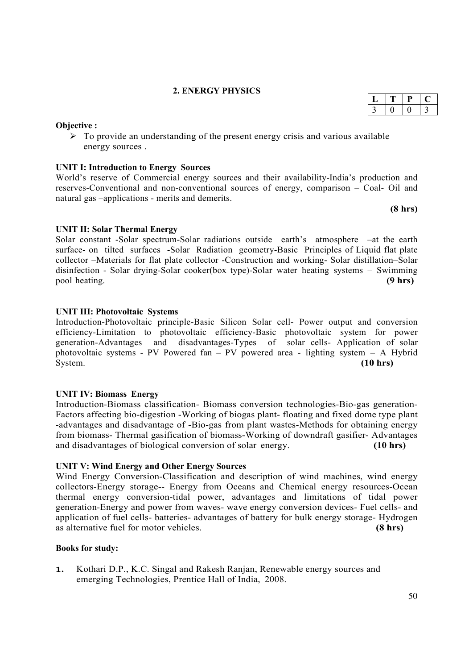#### **2. ENERGY PHYSICS**

#### **Objective :**

 $\triangleright$  To provide an understanding of the present energy crisis and various available energy sources .

#### **UNIT I: Introduction to Energy Sources**

World's reserve of Commercial energy sources and their availability-India's production and reserves-Conventional and non-conventional sources of energy, comparison – Coal- Oil and natural gas –applications - merits and demerits.

**(8 hrs)**

#### **UNIT II: Solar Thermal Energy**

Solar constant -Solar spectrum-Solar radiations outside earth's atmosphere –at the earth surface- on tilted surfaces -Solar Radiation geometry-Basic Principles of Liquid flat plate collector –Materials for flat plate collector -Construction and working- Solar distillation–Solar disinfection - Solar drying-Solar cooker(box type)-Solar water heating systems – Swimming pool heating. **(9 hrs)**

#### **UNIT III: Photovoltaic Systems**

Introduction-Photovoltaic principle-Basic Silicon Solar cell- Power output and conversion efficiency-Limitation to photovoltaic efficiency-Basic photovoltaic system for power generation-Advantages and disadvantages-Types of solar cells- Application of solar photovoltaic systems - PV Powered fan – PV powered area - lighting system – A Hybrid System. **(10 hrs)**

#### **UNIT IV: Biomass Energy**

Introduction-Biomass classification- Biomass conversion technologies-Bio-gas generation-Factors affecting bio-digestion -Working of biogas plant- floating and fixed dome type plant -advantages and disadvantage of -Bio-gas from plant wastes-Methods for obtaining energy from biomass- Thermal gasification of biomass-Working of downdraft gasifier- Advantages and disadvantages of biological conversion of solar energy. **(10 hrs)**

#### **UNIT V: Wind Energy and Other Energy Sources**

Wind Energy Conversion-Classification and description of wind machines, wind energy collectors-Energy storage-- Energy from Oceans and Chemical energy resources-Ocean thermal energy conversion-tidal power, advantages and limitations of tidal power generation-Energy and power from waves- wave energy conversion devices- Fuel cells- and application of fuel cells- batteries- advantages of battery for bulk energy storage- Hydrogen as alternative fuel for motor vehicles. **(8 hrs)**

#### **Books for study:**

1. Kothari D.P., K.C. Singal and Rakesh Ranjan, Renewable energy sources and emerging Technologies, Prentice Hall of India, 2008.

# $L$   $T$   $P$   $C$  $3 | 0 | 0 | 3$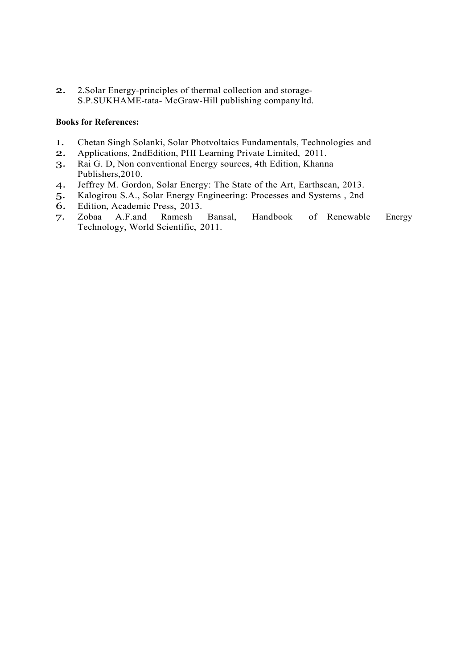2. 2.Solar Energy-principles of thermal collection and storage-S.P.SUKHAME-tata- McGraw-Hill publishing company ltd.

#### **Books for References:**

- 1. Chetan Singh Solanki, Solar Photvoltaics Fundamentals, Technologies and 2. Applications, 2ndEdition, PHI Learning Private Limited, 2011.
- 2. Applications, 2ndEdition, PHI Learning Private Limited, 2011.
- 3. Rai G. D, Non conventional Energy sources, 4th Edition, Khanna Publishers,2010.
- 4. Jeffrey M. Gordon, Solar Energy: The State of the Art, Earthscan, 2013.
- 5. Kalogirou S.A., Solar Energy Engineering: Processes and Systems, 2nd 6. Edition. Academic Press. 2013.
- Edition, Academic Press, 2013.<br>Zobaa A.F.and Ramesh
- 7. Zobaa A.F.and Ramesh Bansal, Handbook of Renewable Energy Technology, World Scientific, 2011.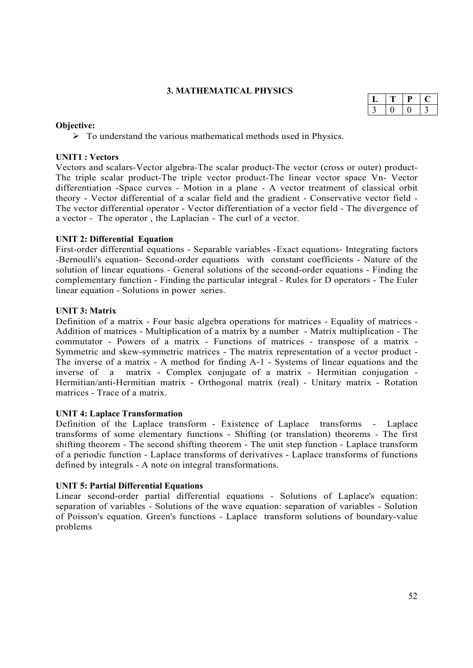#### **3. MATHEMATICAL PHYSICS**

#### **Objective:**

 $\triangleright$  To understand the various mathematical methods used in Physics.

#### **UNIT1 : Vectors**

Vectors and scalars-Vector algebra-The scalar product-The vector (cross or outer) product-The triple scalar product-The triple vector product-The linear vector space Vn- Vector differentiation -Space curves - Motion in a plane - A vector treatment of classical orbit theory - Vector differential of a scalar field and the gradient - Conservative vector field - The vector differential operator - Vector differentiation of a vector field - The divergence of a vector - The operator , the Laplacian - The curl of a vector.

#### **UNIT 2: Differential Equation**

First-order differential equations - Separable variables -Exact equations- Integrating factors -Bernoulli's equation- Second-order equations with constant coefficients - Nature of the solution of linear equations - General solutions of the second-order equations - Finding the complementary function - Finding the particular integral - Rules for D operators - The Euler linear equation - Solutions in power series.

#### **UNIT 3: Matrix**

Definition of a matrix - Four basic algebra operations for matrices - Equality of matrices - Addition of matrices - Multiplication of a matrix by a number - Matrix multiplication - The commutator - Powers of a matrix - Functions of matrices - transpose of a matrix - Symmetric and skew-symmetric matrices - The matrix representation of a vector product - The inverse of a matrix - A method for finding A-1 - Systems of linear equations and the inverse of a matrix - Complex conjugate of a matrix - Hermitian conjugation - Hermitian/anti-Hermitian matrix - Orthogonal matrix (real) - Unitary matrix - Rotation matrices - Trace of a matrix.

#### **UNIT 4: Laplace Transformation**

Definition of the Laplace transform - Existence of Laplace transforms - Laplace transforms of some elementary functions - Shifting (or translation) theorems - The first shifting theorem - The second shifting theorem - The unit step function - Laplace transform of a periodic function - Laplace transforms of derivatives - Laplace transforms of functions defined by integrals - A note on integral transformations.

# **UNIT 5: Partial Differential Equations**

Linear second-order partial differential equations - Solutions of Laplace's equation: separation of variables - Solutions of the wave equation: separation of variables - Solution of Poisson's equation. Green's functions - Laplace transform solutions of boundary-value problems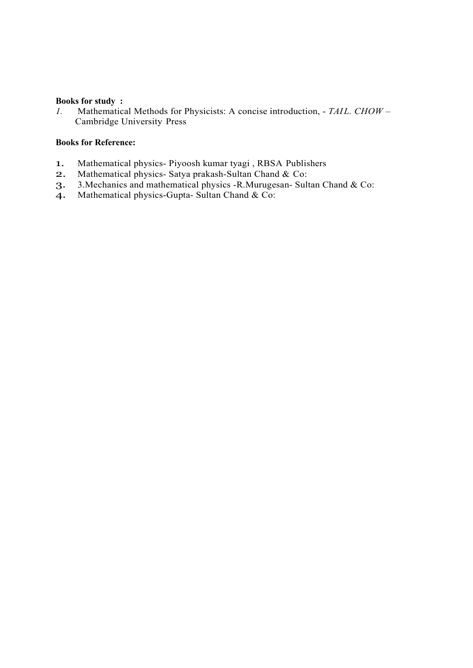#### **Books for study :**

*1.* Mathematical Methods for Physicists: A concise introduction, - TAIL. CHOW -Cambridge University Press

#### **Books for Reference:**

- 1. Mathematical physics- Piyoosh kumar tyagi , RBSA Publishers<br>2. Mathematical physics- Satva prakash-Sultan Chand & Co:
- Mathematical physics- Satya prakash-Sultan Chand & Co:
- 3. 3.Mechanics and mathematical physics -R.Murugesan- Sultan Chand & Co:
- 4. Mathematical physics-Gupta- Sultan Chand & Co: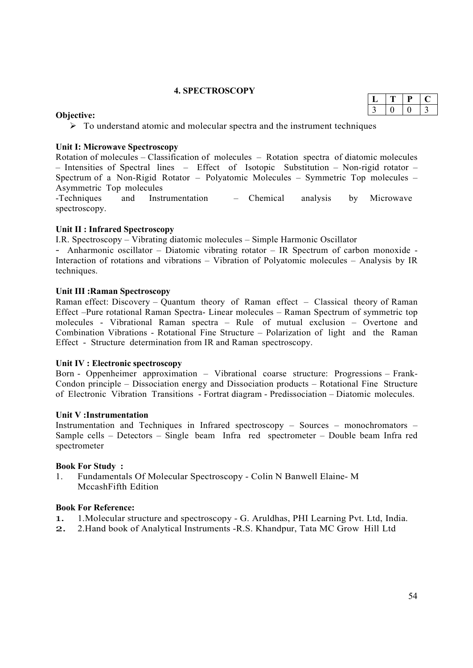#### **4. SPECTROSCOPY**

#### **Objective:**

 $\triangleright$  To understand atomic and molecular spectra and the instrument techniques

#### **Unit I: Microwave Spectroscopy**

Rotation of molecules – Classification of molecules – Rotation spectra of diatomic molecules – Intensities of Spectral lines – Effect of Isotopic Substitution – Non-rigid rotator – Spectrum of a Non-Rigid Rotator – Polyatomic Molecules – Symmetric Top molecules – Asymmetric Top molecules

-Techniques and Instrumentation – Chemical analysis by Microwave spectroscopy.

#### **Unit II : Infrared Spectroscopy**

I.R. Spectroscopy – Vibrating diatomic molecules – Simple Harmonic Oscillator

- Anharmonic oscillator – Diatomic vibrating rotator – IR Spectrum of carbon monoxide - Interaction of rotations and vibrations – Vibration of Polyatomic molecules – Analysis by IR techniques.

#### **Unit III :Raman Spectroscopy**

Raman effect: Discovery – Quantum theory of Raman effect – Classical theory of Raman Effect –Pure rotational Raman Spectra- Linear molecules – Raman Spectrum of symmetric top molecules - Vibrational Raman spectra – Rule of mutual exclusion – Overtone and Combination Vibrations - Rotational Fine Structure – Polarization of light and the Raman Effect - Structure determination from IR and Raman spectroscopy.

# **Unit IV : Electronic spectroscopy**

Born - Oppenheimer approximation – Vibrational coarse structure: Progressions – Frank-Condon principle – Dissociation energy and Dissociation products – Rotational Fine Structure of Electronic Vibration Transitions - Fortrat diagram - Predissociation – Diatomic molecules.

#### **Unit V :Instrumentation**

Instrumentation and Techniques in Infrared spectroscopy – Sources – monochromators – Sample cells – Detectors – Single beam Infra red spectrometer – Double beam Infra red spectrometer

#### **Book For Study :**

1. Fundamentals Of Molecular Spectroscopy - Colin N Banwell Elaine- M MccashFifth Edition

# **Book For Reference:**

- 1. 1.Molecular structure and spectroscopy G. Aruldhas, PHI Learning Pvt. Ltd, India.
- 2. 2.Hand book of Analytical Instruments -R.S. Khandpur, Tata MC Grow Hill Ltd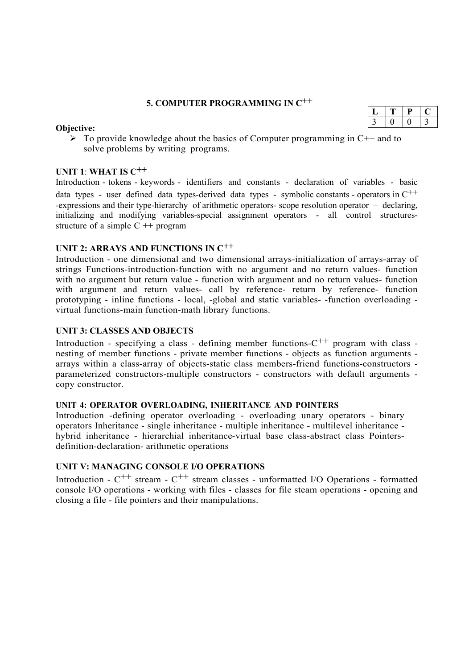# **5. COMPUTER PROGRAMMING IN C++**

#### **Objective:**

 $\triangleright$  To provide knowledge about the basics of Computer programming in C++ and to solve problems by writing programs.

## **UNIT 1**: **WHAT IS C++**

Introduction - tokens - keywords - identifiers and constants - declaration of variables - basic data types - user defined data types-derived data types - symbolic constants - operators in  $C^{++}$ -expressions and their type-hierarchy of arithmetic operators- scope resolution operator – declaring, initializing and modifying variables-special assignment operators - all control structuresstructure of a simple  $C +$ + program

# **UNIT 2: ARRAYS AND FUNCTIONS IN C++**

Introduction - one dimensional and two dimensional arrays-initialization of arrays-array of strings Functions-introduction-function with no argument and no return values- function with no argument but return value - function with argument and no return values- function with argument and return values- call by reference- return by reference- function prototyping - inline functions - local, -global and static variables- -function overloading virtual functions-main function-math library functions.

#### **UNIT 3: CLASSES AND OBJECTS**

Introduction - specifying a class - defining member functions- $C^{++}$  program with class nesting of member functions - private member functions - objects as function arguments arrays within a class-array of objects-static class members-friend functions-constructors parameterized constructors-multiple constructors - constructors with default arguments copy constructor.

#### **UNIT 4: OPERATOR OVERLOADING, INHERITANCE AND POINTERS**

Introduction -defining operator overloading - overloading unary operators - binary operators Inheritance - single inheritance - multiple inheritance - multilevel inheritance hybrid inheritance - hierarchial inheritance-virtual base class-abstract class Pointersdefinition-declaration- arithmetic operations

#### **UNIT V: MANAGING CONSOLE I/O OPERATIONS**

Introduction -  $C^{++}$  stream -  $C^{++}$  stream classes - unformatted I/O Operations - formatted console I/O operations - working with files - classes for file steam operations - opening and closing a file - file pointers and their manipulations.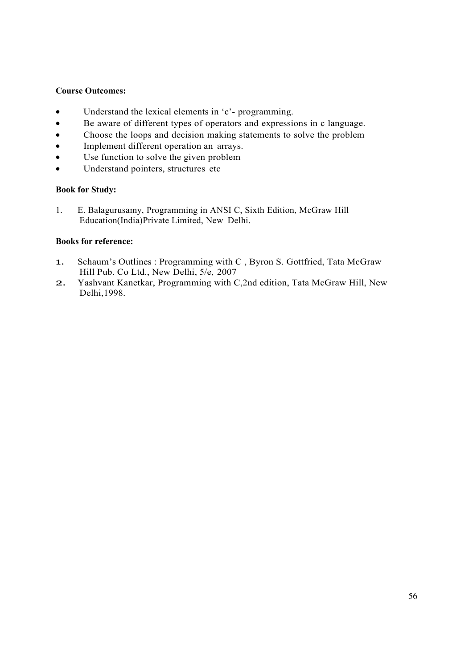#### **Course Outcomes:**

- Understand the lexical elements in 'c'- programming.
- Be aware of different types of operators and expressions in c language.
- Choose the loops and decision making statements to solve the problem
- Implement different operation an arrays.
- Use function to solve the given problem
- Understand pointers, structures etc

#### **Book for Study:**

1. E. Balagurusamy, Programming in ANSI C, Sixth Edition, McGraw Hill Education(India)Private Limited, New Delhi.

#### **Books for reference:**

- 1. Schaum's Outlines : Programming with C , Byron S. Gottfried, Tata McGraw Hill Pub. Co Ltd., New Delhi, 5/e, 2007
- 2. Yashvant Kanetkar, Programming with C,2nd edition, Tata McGraw Hill, New Delhi,1998.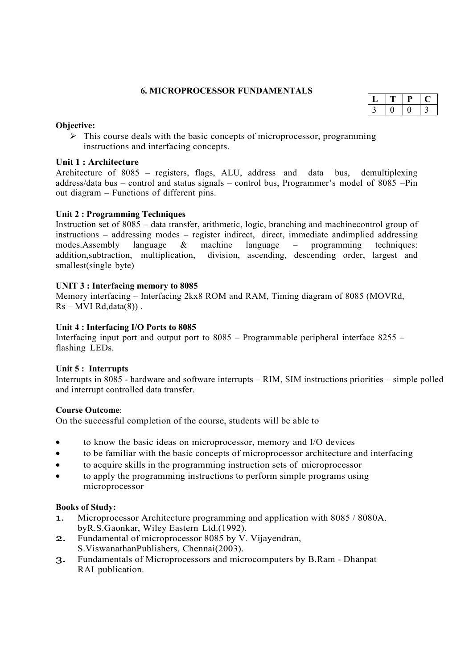#### **6. MICROPROCESSOR FUNDAMENTALS**

#### **Objective:**

 $\triangleright$  This course deals with the basic concepts of microprocessor, programming instructions and interfacing concepts.

#### **Unit 1 : Architecture**

Architecture of 8085 – registers, flags, ALU, address and data bus, demultiplexing address/data bus – control and status signals – control bus, Programmer's model of 8085 –Pin out diagram – Functions of different pins.

#### **Unit 2 : Programming Techniques**

Instruction set of 8085 – data transfer, arithmetic, logic, branching and machinecontrol group of instructions – addressing modes – register indirect, direct, immediate andimplied addressing modes.Assembly language & machine language – programming techniques: addition,subtraction, multiplication, division, ascending, descending order, largest and smallest(single byte)

#### **UNIT 3 : Interfacing memory to 8085**

Memory interfacing – Interfacing 2kx8 ROM and RAM, Timing diagram of 8085 (MOVRd,  $Rs - MVI$   $Rd, data(8)$ .

#### **Unit 4 : Interfacing I/O Ports to 8085**

Interfacing input port and output port to 8085 – Programmable peripheral interface 8255 – flashing LEDs.

#### **Unit 5 : Interrupts**

Interrupts in 8085 - hardware and software interrupts – RIM, SIM instructions priorities – simple polled and interrupt controlled data transfer.

#### **Course Outcome**:

On the successful completion of the course, students will be able to

- to know the basic ideas on microprocessor, memory and I/O devices
- to be familiar with the basic concepts of microprocessor architecture and interfacing
- to acquire skills in the programming instruction sets of microprocessor
- to apply the programming instructions to perform simple programs using microprocessor

#### **Books of Study:**

- 1. Microprocessor Architecture programming and application with 8085 / 8080A. byR.S.Gaonkar, Wiley Eastern Ltd.(1992).
- 2. Fundamental of microprocessor 8085 by V. Vijayendran, S.ViswanathanPublishers, Chennai(2003).
- 3. Fundamentals of Microprocessors and microcomputers by B.Ram Dhanpat RAI publication.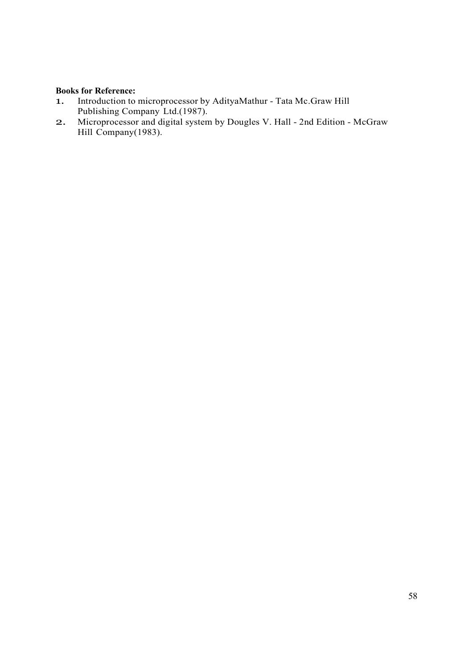# **Books for Reference:**

- 1. Introduction to microprocessor by AdityaMathur Tata Mc.Graw Hill Publishing Company Ltd.(1987).
- 2. Microprocessor and digital system by Dougles V. Hall 2nd Edition McGraw Hill Company(1983).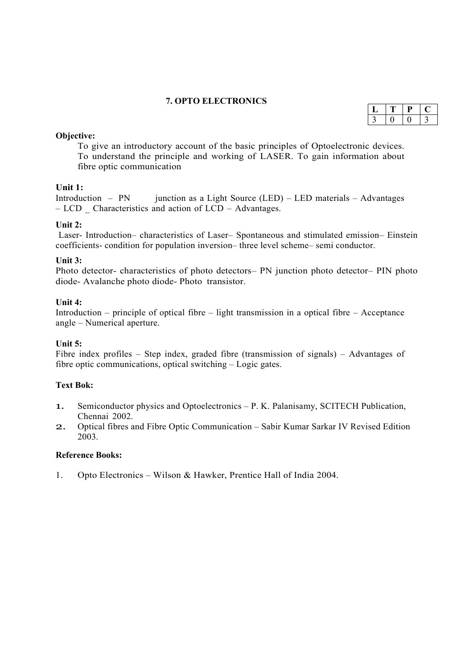#### **7. OPTO ELECTRONICS**

#### **Objective:**

To give an introductory account of the basic principles of Optoelectronic devices. To understand the principle and working of LASER. To gain information about fibre optic communication

# **Unit 1:**

Introduction – PN junction as a Light Source  $(LED)$  – LED materials – Advantages – LCD \_ Characteristics and action of LCD – Advantages.

#### **Unit 2:**

Laser- Introduction– characteristics of Laser– Spontaneous and stimulated emission– Einstein coefficients- condition for population inversion– three level scheme– semi conductor.

#### **Unit 3:**

Photo detector- characteristics of photo detectors– PN junction photo detector– PIN photo diode- Avalanche photo diode- Photo transistor.

#### **Unit 4:**

Introduction – principle of optical fibre – light transmission in a optical fibre – Acceptance angle – Numerical aperture.

#### **Unit 5:**

Fibre index profiles – Step index, graded fibre (transmission of signals) – Advantages of fibre optic communications, optical switching – Logic gates.

# **Text Bok:**

- 1. Semiconductor physics and Optoelectronics P. K. Palanisamy, SCITECH Publication, Chennai 2002.
- 2. Optical fibres and Fibre Optic Communication Sabir Kumar Sarkar IV Revised Edition 2003.

#### **Reference Books:**

1. Opto Electronics – Wilson & Hawker, Prentice Hall of India 2004.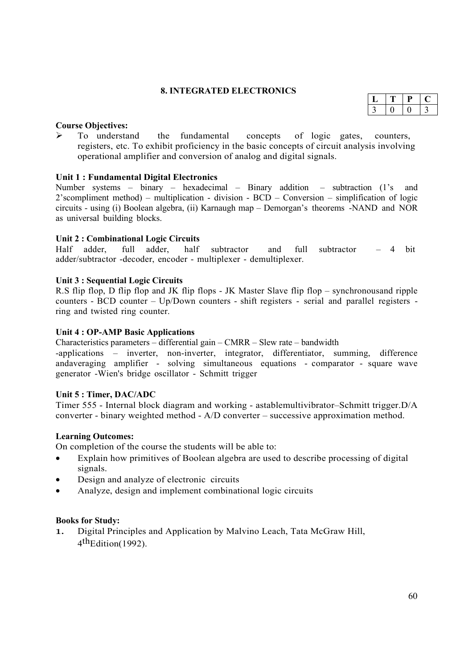#### **8. INTEGRATED ELECTRONICS**

#### **Course Objectives:**

 $\triangleright$  To understand the fundamental concepts of logic gates, counters, registers, etc. To exhibit proficiency in the basic concepts of circuit analysis involving operational amplifier and conversion of analog and digital signals.

# **Unit 1 : Fundamental Digital Electronics**

Number systems – binary – hexadecimal – Binary addition – subtraction (1's and 2'scompliment method) – multiplication - division - BCD – Conversion – simplification of logic circuits - using (i) Boolean algebra, (ii) Karnaugh map – Demorgan's theorems -NAND and NOR as universal building blocks.

#### **Unit 2 : Combinational Logic Circuits**

Half adder, full adder, half subtractor and full subtractor – 4 bit adder/subtractor -decoder, encoder - multiplexer - demultiplexer.

#### **Unit 3 : Sequential Logic Circuits**

R.S flip flop, D flip flop and JK flip flops - JK Master Slave flip flop – synchronousand ripple counters - BCD counter – Up/Down counters - shift registers - serial and parallel registers ring and twisted ring counter.

#### **Unit 4 : OP-AMP Basic Applications**

Characteristics parameters – differential gain – CMRR – Slew rate – bandwidth

-applications – inverter, non-inverter, integrator, differentiator, summing, difference andaveraging amplifier - solving simultaneous equations - comparator - square wave generator -Wien's bridge oscillator - Schmitt trigger

#### **Unit 5 : Timer, DAC/ADC**

Timer 555 - Internal block diagram and working - astablemultivibrator–Schmitt trigger.D/A converter - binary weighted method - A/D converter – successive approximation method.

#### **Learning Outcomes:**

On completion of the course the students will be able to:

- Explain how primitives of Boolean algebra are used to describe processing of digital signals.
- Design and analyze of electronic circuits
- Analyze, design and implement combinational logic circuits

#### **Books for Study:**

1. Digital Principles and Application by Malvino Leach, Tata McGraw Hill, 4 thEdition(1992).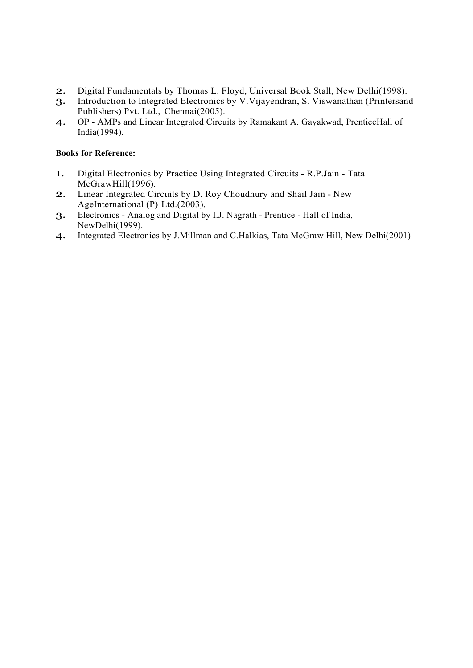- 
- 2. Digital Fundamentals by Thomas L. Floyd, Universal Book Stall, New Delhi(1998).<br>3. Introduction to Integrated Electronics by V. Vijayendran, S. Viswanathan (Printersand Introduction to Integrated Electronics by V.Vijayendran, S. Viswanathan (Printersand Publishers) Pvt. Ltd., Chennai(2005).
- 4. OP AMPs and Linear Integrated Circuits by Ramakant A. Gayakwad, PrenticeHall of India(1994).

## **Books for Reference:**

- 1. Digital Electronics by Practice Using Integrated Circuits R.P.Jain Tata McGrawHill(1996).
- 2. Linear Integrated Circuits by D. Roy Choudhury and Shail Jain New AgeInternational (P) Ltd.(2003).
- 3. Electronics Analog and Digital by I.J. Nagrath Prentice Hall of India, NewDelhi(1999).
- 4. Integrated Electronics by J.Millman and C.Halkias, Tata McGraw Hill, New Delhi(2001)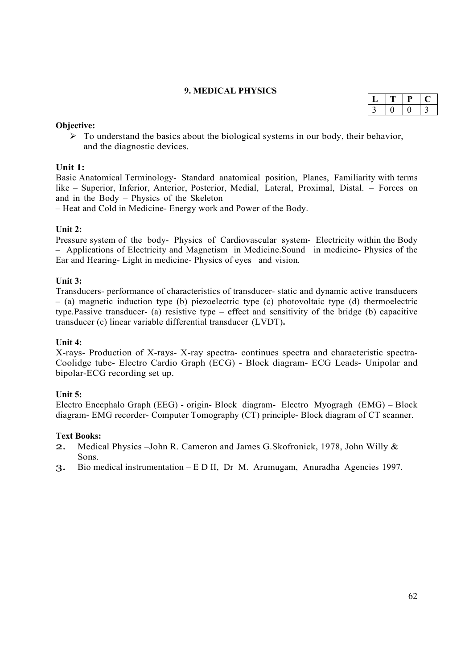# **9. MEDICAL PHYSICS**

#### **Objective:**

 $\triangleright$  To understand the basics about the biological systems in our body, their behavior, and the diagnostic devices.

#### **Unit 1:**

Basic Anatomical Terminology- Standard anatomical position, Planes, Familiarity with terms like – Superior, Inferior, Anterior, Posterior, Medial, Lateral, Proximal, Distal. – Forces on and in the Body – Physics of the Skeleton

– Heat and Cold in Medicine- Energy work and Power of the Body.

#### **Unit 2:**

Pressure system of the body- Physics of Cardiovascular system- Electricity within the Body – Applications of Electricity and Magnetism in Medicine.Sound in medicine- Physics of the Ear and Hearing- Light in medicine- Physics of eyes and vision.

#### **Unit 3:**

Transducers- performance of characteristics of transducer- static and dynamic active transducers – (a) magnetic induction type (b) piezoelectric type (c) photovoltaic type (d) thermoelectric type.Passive transducer- (a) resistive type – effect and sensitivity of the bridge (b) capacitive transducer (c) linear variable differential transducer (LVDT)**.**

#### **Unit 4:**

X-rays- Production of X-rays- X-ray spectra- continues spectra and characteristic spectra-Coolidge tube- Electro Cardio Graph (ECG) - Block diagram- ECG Leads- Unipolar and bipolar-ECG recording set up.

#### **Unit 5:**

Electro Encephalo Graph (EEG) - origin- Block diagram- Electro Myogragh (EMG) – Block diagram- EMG recorder- Computer Tomography (CT) principle- Block diagram of CT scanner.

#### **Text Books:**

- 2. Medical Physics –John R. Cameron and James G.Skofronick, 1978, John Willy & Sons.
- 3. Bio medical instrumentation E D II, Dr M. Arumugam, Anuradha Agencies 1997.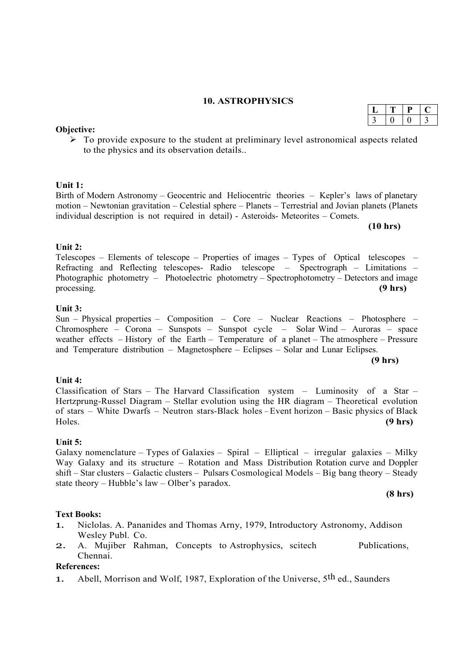#### **10. ASTROPHYSICS**

|  |  | $\begin{array}{ c c c c c }\n\hline\n1 & 3 & 0 & \boxed{0 & 3}\n\end{array}$ |  |  |
|--|--|------------------------------------------------------------------------------|--|--|
|  |  |                                                                              |  |  |

 $\triangleright$  To provide exposure to the student at preliminary level astronomical aspects related to the physics and its observation details..

#### **Unit 1:**

Birth of Modern Astronomy – Geocentric and Heliocentric theories – Kepler's laws of planetary motion – Newtonian gravitation – Celestial sphere – Planets – Terrestrial and Jovian planets (Planets individual description is not required in detail) - Asteroids- Meteorites – Comets.

**(10 hrs)**

 $L$   $T$   $P$   $C$ 

#### **Unit 2:**

Telescopes – Elements of telescope – Properties of images – Types of Optical telescopes – Refracting and Reflecting telescopes- Radio telescope – Spectrograph – Limitations – Photographic photometry – Photoelectric photometry – Spectrophotometry – Detectors and image processing. **(9 hrs)**

#### **Unit 3:**

Sun – Physical properties – Composition – Core – Nuclear Reactions – Photosphere – Chromosphere – Corona – Sunspots – Sunspot cycle – Solar Wind – Auroras – space weather effects – History of the Earth – Temperature of a planet – The atmosphere – Pressure and Temperature distribution – Magnetosphere – Eclipses – Solar and Lunar Eclipses.

**(9 hrs)**

#### **Unit 4:**

Classification of Stars – The Harvard Classification system – Luminosity of a Star – Hertzprung-Russel Diagram – Stellar evolution using the HR diagram – Theoretical evolution of stars – White Dwarfs – Neutron stars-Black holes – Event horizon – Basic physics of Black Holes. **(9 hrs)**

#### **Unit 5:**

Galaxy nomenclature – Types of Galaxies – Spiral – Elliptical – irregular galaxies – Milky Way Galaxy and its structure – Rotation and Mass Distribution Rotation curve and Doppler shift – Star clusters – Galactic clusters – Pulsars Cosmological Models – Big bang theory – Steady state theory – Hubble's law – Olber's paradox.

**(8 hrs)**

#### **Text Books:**

- 1. Niclolas. A. Pananides and Thomas Arny, 1979, Introductory Astronomy, Addison Wesley Publ. Co.
- 2. A. Mujiber Rahman, Concepts to Astrophysics, scitech Publications, Chennai.

#### **References:**

1. Abell, Morrison and Wolf, 1987, Exploration of the Universe,  $5<sup>th</sup>$  ed., Saunders

# **Objective:**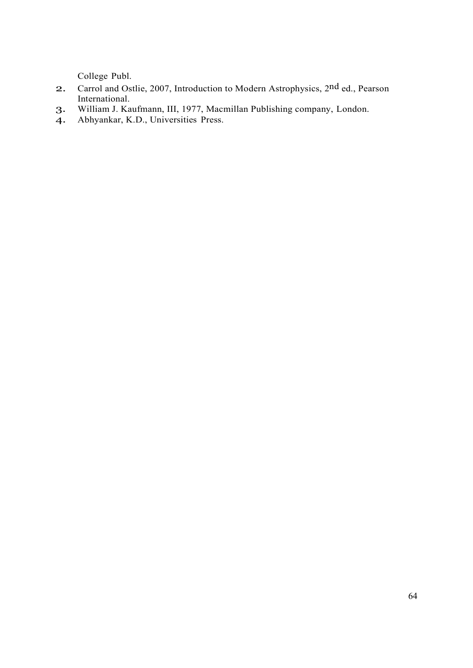College Publ.

- 2. Carrol and Ostlie, 2007, Introduction to Modern Astrophysics, 2<sup>nd</sup> ed., Pearson International.
- 3. William J. Kaufmann, III, 1977, Macmillan Publishing company, London.
- 4. Abhyankar, K.D., Universities Press.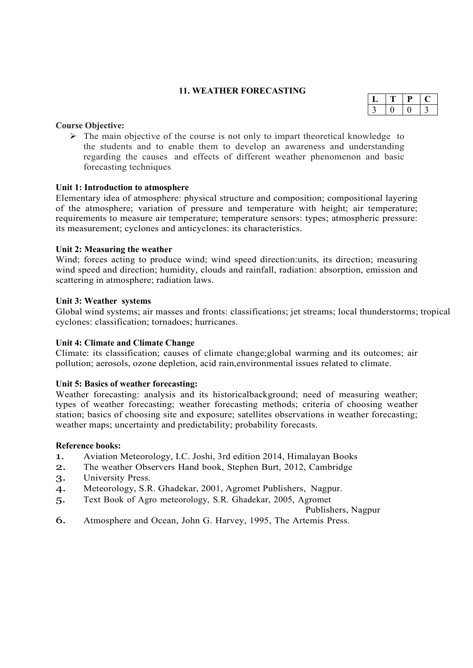#### **11. WEATHER FORECASTING**

#### **Course Objective:**

 $\triangleright$  The main objective of the course is not only to impart theoretical knowledge to the students and to enable them to develop an awareness and understanding regarding the causes and effects of different weather phenomenon and basic forecasting techniques

#### **Unit 1: Introduction to atmosphere**

Elementary idea of atmosphere: physical structure and composition; compositional layering of the atmosphere; variation of pressure and temperature with height; air temperature; requirements to measure air temperature; temperature sensors: types; atmospheric pressure: its measurement; cyclones and anticyclones: its characteristics.

#### **Unit 2: Measuring the weather**

Wind; forces acting to produce wind; wind speed direction: units, its direction; measuring wind speed and direction; humidity, clouds and rainfall, radiation: absorption, emission and scattering in atmosphere; radiation laws.

#### **Unit 3: Weather systems**

Global wind systems; air masses and fronts: classifications; jet streams; local thunderstorms; tropical cyclones: classification; tornadoes; hurricanes.

#### **Unit 4: Climate and Climate Change**

Climate: its classification; causes of climate change;global warming and its outcomes; air pollution; aerosols, ozone depletion, acid rain,environmental issues related to climate.

#### **Unit 5: Basics of weather forecasting:**

Weather forecasting: analysis and its historicalbackground; need of measuring weather; types of weather forecasting; weather forecasting methods; criteria of choosing weather station; basics of choosing site and exposure; satellites observations in weather forecasting; weather maps; uncertainty and predictability; probability forecasts.

#### **Reference books:**

- 1. Aviation Meteorology, I.C. Joshi, 3rd edition 2014, Himalayan Books
- 2. The weather Observers Hand book, Stephen Burt, 2012, Cambridge
- 3. University Press.
- 4. Meteorology, S.R. Ghadekar, 2001, Agromet Publishers, Nagpur.
- 5. Text Book of Agro meteorology, S.R. Ghadekar, 2005, Agromet

Publishers, Nagpur

6. Atmosphere and Ocean, John G. Harvey, 1995, The Artemis Press.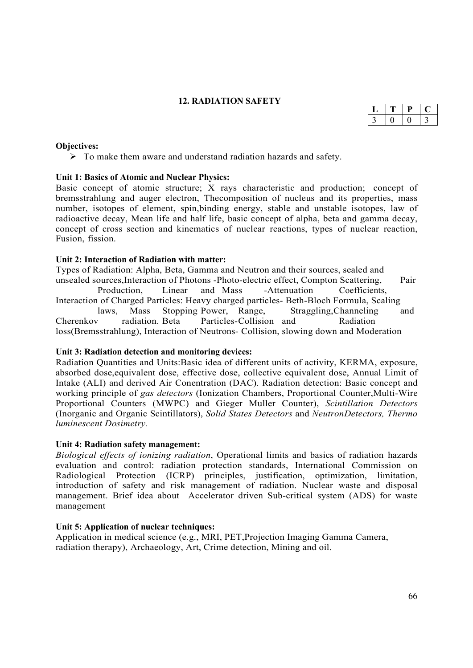# **12. RADIATION SAFETY**

#### **Objectives:**

 $\triangleright$  To make them aware and understand radiation hazards and safety.

#### **Unit 1: Basics of Atomic and Nuclear Physics:**

Basic concept of atomic structure; X rays characteristic and production; concept of bremsstrahlung and auger electron, Thecomposition of nucleus and its properties, mass number, isotopes of element, spin,binding energy, stable and unstable isotopes, law of radioactive decay, Mean life and half life, basic concept of alpha, beta and gamma decay, concept of cross section and kinematics of nuclear reactions, types of nuclear reaction, Fusion, fission

#### **Unit 2: Interaction of Radiation with matter:**

Types of Radiation: Alpha, Beta, Gamma and Neutron and their sources, sealed and unsealed sources,Interaction of Photons -Photo-electric effect, Compton Scattering, Pair Production, Linear and Mass -Attenuation Coefficients, Interaction of Charged Particles: Heavy charged particles- Beth-Bloch Formula, Scaling<br>laws, Mass Stopping Power, Range, Straggling, Channeling laws, Mass Stopping Power, Range, Straggling,Channeling and Cherenkov radiation. Beta Particles- Collision and Radiation loss(Bremsstrahlung), Interaction of Neutrons- Collision, slowing down and Moderation

#### **Unit 3: Radiation detection and monitoring devices:**

Radiation Quantities and Units:Basic idea of different units of activity, KERMA, exposure, absorbed dose,equivalent dose, effective dose, collective equivalent dose, Annual Limit of Intake (ALI) and derived Air Conentration (DAC). Radiation detection: Basic concept and working principle of *gas detectors* (Ionization Chambers, Proportional Counter,Multi-Wire Proportional Counters (MWPC) and Gieger Muller Counter), *Scintillation Detectors*  (Inorganic and Organic Scintillators), *Solid States Detectors* and *NeutronDetectors, Thermo luminescent Dosimetry.*

#### **Unit 4: Radiation safety management:**

*Biological effects of ionizing radiation*, Operational limits and basics of radiation hazards evaluation and control: radiation protection standards, International Commission on Radiological Protection (ICRP) principles, justification, optimization, limitation, introduction of safety and risk management of radiation. Nuclear waste and disposal management. Brief idea about Accelerator driven Sub-critical system (ADS) for waste management

#### **Unit 5: Application of nuclear techniques:**

Application in medical science (e.g., MRI, PET,Projection Imaging Gamma Camera, radiation therapy), Archaeology, Art, Crime detection, Mining and oil.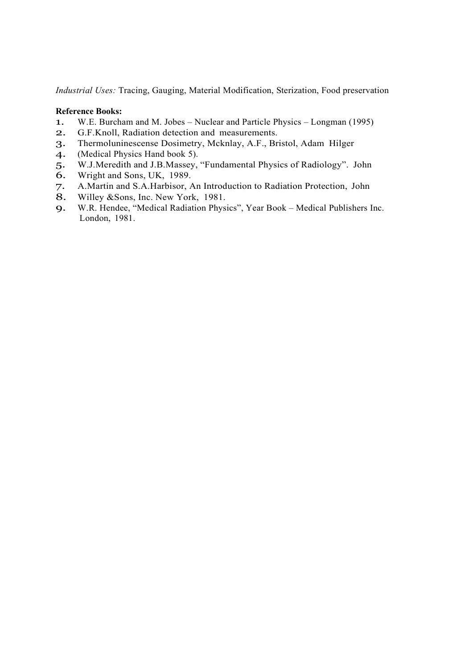*Industrial Uses:* Tracing, Gauging, Material Modification, Sterization, Food preservation

#### **Reference Books:**

- 1. W.E. Burcham and M. Jobes Nuclear and Particle Physics Longman (1995)
- 2. G.F.Knoll, Radiation detection and measurements.
- 3. Thermoluninescense Dosimetry, Mcknlay, A.F., Bristol, Adam Hilger
- 4. (Medical Physics Hand book 5).
- 5. W.J.Meredith and J.B.Massey, "Fundamental Physics of Radiology". John
- 6. Wright and Sons, UK, 1989.
- 7. A.Martin and S.A.Harbisor, An Introduction to Radiation Protection, John 8. Willey &Sons, Inc. New York, 1981.
- Willey &Sons, Inc. New York, 1981.
- 9. W.R. Hendee, "Medical Radiation Physics", Year Book Medical Publishers Inc. London, 1981.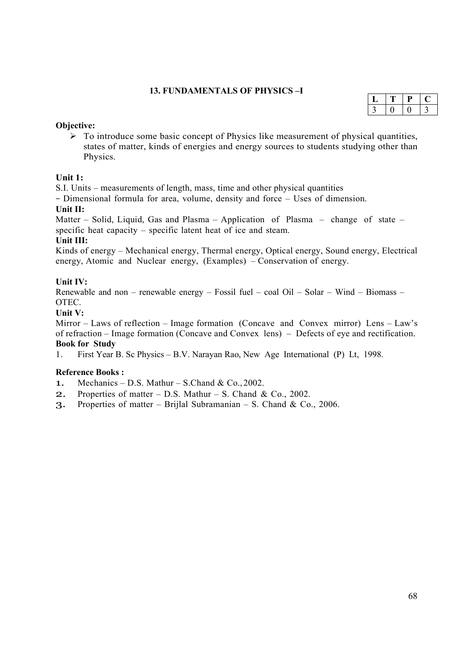# **13. FUNDAMENTALS OF PHYSICS –I**

#### **Objective:**

 $\triangleright$  To introduce some basic concept of Physics like measurement of physical quantities, states of matter, kinds of energies and energy sources to students studying other than Physics.

# **Unit 1:**

S.I. Units – measurements of length, mass, time and other physical quantities

– Dimensional formula for area, volume, density and force – Uses of dimension. **Unit II:** 

Matter – Solid, Liquid, Gas and Plasma – Application of Plasma – change of state – specific heat capacity – specific latent heat of ice and steam.

# **Unit III:**

Kinds of energy – Mechanical energy, Thermal energy, Optical energy, Sound energy, Electrical energy, Atomic and Nuclear energy, (Examples) – Conservation of energy.

# **Unit IV:**

Renewable and non – renewable energy – Fossil fuel – coal Oil – Solar – Wind – Biomass – OTEC.

# **Unit V:**

Mirror – Laws of reflection – Image formation (Concave and Convex mirror) Lens – Law's of refraction – Image formation (Concave and Convex lens) – Defects of eye and rectification. **Book for Study** 

1. First Year B. Sc Physics – B.V. Narayan Rao, New Age International (P) Lt, 1998.

# **Reference Books :**

- 1. Mechanics D.S. Mathur S.Chand & Co., 2002.
- **2.** Properties of matter  $-$  D.S. Mathur  $-$  S. Chand & Co., 2002.
- 3. Properties of matter Brijlal Subramanian S. Chand & Co., 2006.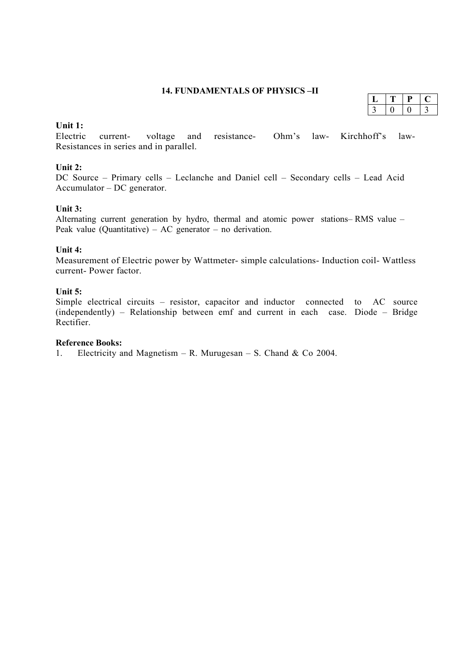#### **14. FUNDAMENTALS OF PHYSICS –II**

#### **Unit 1:**

Electric current- voltage and resistance- Ohm's law- Kirchhoff's law-Resistances in series and in parallel.

# **Unit 2:**

DC Source – Primary cells – Leclanche and Daniel cell – Secondary cells – Lead Acid Accumulator – DC generator.

# **Unit 3:**

Alternating current generation by hydro, thermal and atomic power stations– RMS value – Peak value (Quantitative) – AC generator – no derivation.

# **Unit 4:**

Measurement of Electric power by Wattmeter- simple calculations- Induction coil- Wattless current- Power factor.

# **Unit 5:**

Simple electrical circuits – resistor, capacitor and inductor connected to AC source (independently) – Relationship between emf and current in each case. Diode – Bridge Rectifier.

# **Reference Books:**

1. Electricity and Magnetism – R. Murugesan – S. Chand & Co 2004.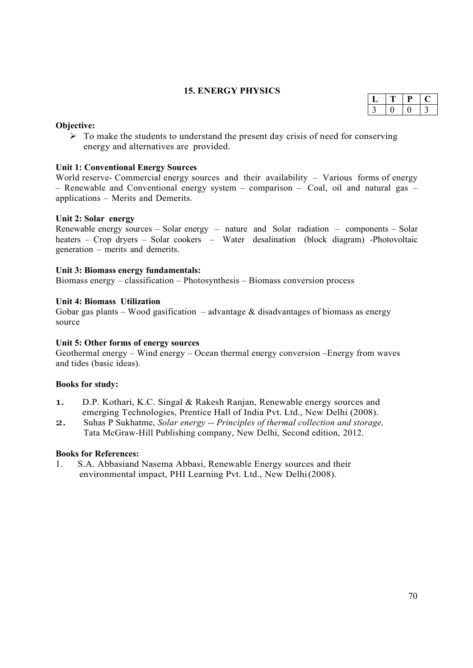# **15. ENERGY PHYSICS**

#### **Objective:**

 $\triangleright$  To make the students to understand the present day crisis of need for conserving energy and alternatives are provided.

#### **Unit 1: Conventional Energy Sources**

World reserve- Commercial energy sources and their availability – Various forms of energy – Renewable and Conventional energy system – comparison – Coal, oil and natural gas – applications – Merits and Demerits.

#### **Unit 2: Solar energy**

Renewable energy sources – Solar energy – nature and Solar radiation – components – Solar heaters – Crop dryers – Solar cookers – Water desalination (block diagram) -Photovoltaic generation – merits and demerits.

#### **Unit 3: Biomass energy fundamentals:**

Biomass energy – classification – Photosynthesis – Biomass conversion process

#### **Unit 4: Biomass Utilization**

Gobar gas plants – Wood gasification – advantage  $\&$  disadvantages of biomass as energy source

#### **Unit 5: Other forms of energy sources**

Geothermal energy – Wind energy – Ocean thermal energy conversion –Energy from waves and tides (basic ideas).

#### **Books for study:**

- 1. D.P. Kothari, K.C. Singal & Rakesh Ranjan, Renewable energy sources and emerging Technologies, Prentice Hall of India Pvt. Ltd., New Delhi (2008).
- 2. Suhas P Sukhatme, *Solar energy -- Principles of thermal collection and storage,*  Tata McGraw-Hill Publishing company, New Delhi, Second edition, 2012.

#### **Books for References:**

1. S.A. Abbasiand Nasema Abbasi, Renewable Energy sources and their environmental impact, PHI Learning Pvt. Ltd., New Delhi (2008).